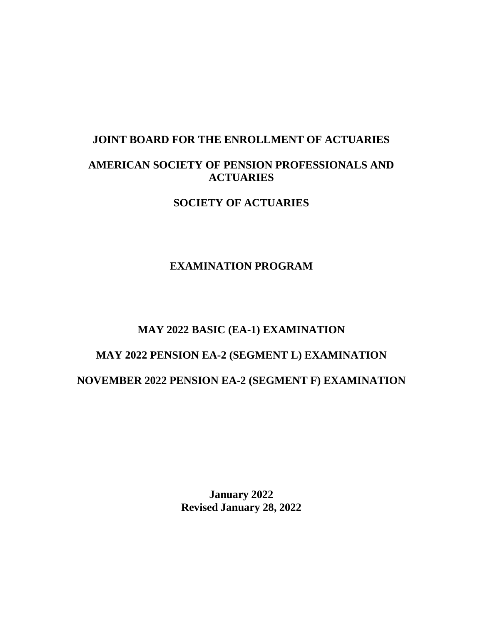# **JOINT BOARD FOR THE ENROLLMENT OF ACTUARIES AMERICAN SOCIETY OF PENSION PROFESSIONALS AND ACTUARIES**

**SOCIETY OF ACTUARIES** 

# **EXAMINATION PROGRAM**

# **MAY 2022 BASIC (EA-1) EXAMINATION**

# **MAY 2022 PENSION EA-2 (SEGMENT L) EXAMINATION NOVEMBER 2022 PENSION EA-2 (SEGMENT F) EXAMINATION**

**January 2022 Revised January 28, 2022**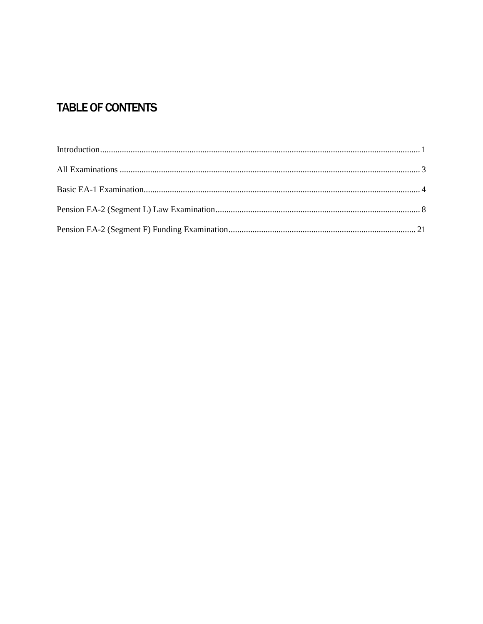# **TABLE OF CONTENTS**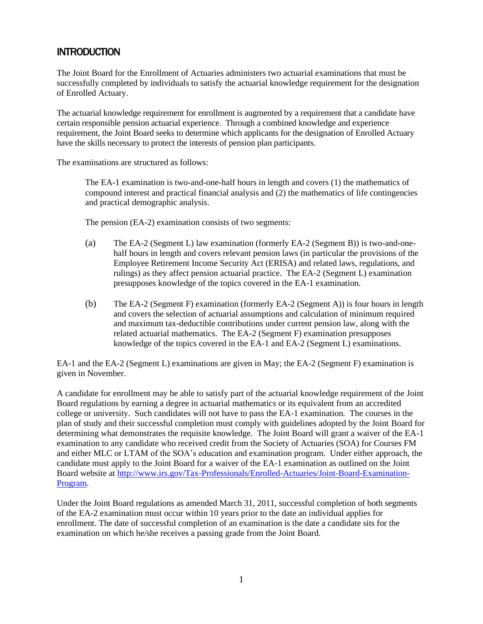# <span id="page-2-0"></span>**INTRODUCTION**

The Joint Board for the Enrollment of Actuaries administers two actuarial examinations that must be successfully completed by individuals to satisfy the actuarial knowledge requirement for the designation of Enrolled Actuary.

The actuarial knowledge requirement for enrollment is augmented by a requirement that a candidate have certain responsible pension actuarial experience. Through a combined knowledge and experience requirement, the Joint Board seeks to determine which applicants for the designation of Enrolled Actuary have the skills necessary to protect the interests of pension plan participants.

The examinations are structured as follows:

The EA-1 examination is two-and-one-half hours in length and covers (1) the mathematics of compound interest and practical financial analysis and (2) the mathematics of life contingencies and practical demographic analysis.

The pension (EA-2) examination consists of two segments:

- (a) The EA-2 (Segment L) law examination (formerly EA-2 (Segment B)) is two-and-onehalf hours in length and covers relevant pension laws (in particular the provisions of the Employee Retirement Income Security Act (ERISA) and related laws, regulations, and rulings) as they affect pension actuarial practice. The EA-2 (Segment L) examination presupposes knowledge of the topics covered in the EA-1 examination.
- (b) The EA-2 (Segment F) examination (formerly EA-2 (Segment A)) is four hours in length and covers the selection of actuarial assumptions and calculation of minimum required and maximum tax-deductible contributions under current pension law, along with the related actuarial mathematics. The EA-2 (Segment F) examination presupposes knowledge of the topics covered in the EA-1 and EA-2 (Segment L) examinations.

EA-1 and the EA-2 (Segment L) examinations are given in May; the EA-2 (Segment F) examination is given in November.

A candidate for enrollment may be able to satisfy part of the actuarial knowledge requirement of the Joint Board regulations by earning a degree in actuarial mathematics or its equivalent from an accredited college or university. Such candidates will not have to pass the EA-1 examination. The courses in the plan of study and their successful completion must comply with guidelines adopted by the Joint Board for determining what demonstrates the requisite knowledge. The Joint Board will grant a waiver of the EA-1 examination to any candidate who received credit from the Society of Actuaries (SOA) for Courses FM and either MLC or LTAM of the SOA's education and examination program. Under either approach, the candidate must apply to the Joint Board for a waiver of the EA-1 examination as outlined on the Joint Board website at [http://www.irs.gov/Tax-Professionals/Enrolled-Actuaries/Joint-Board-Examination-](http://www.irs.gov/Tax-Professionals/Enrolled-Actuaries/Joint-Board-Examination-Program)[Program.](http://www.irs.gov/Tax-Professionals/Enrolled-Actuaries/Joint-Board-Examination-Program)

Under the Joint Board regulations as amended March 31, 2011, successful completion of both segments of the EA-2 examination must occur within 10 years prior to the date an individual applies for enrollment. The date of successful completion of an examination is the date a candidate sits for the examination on which he/she receives a passing grade from the Joint Board.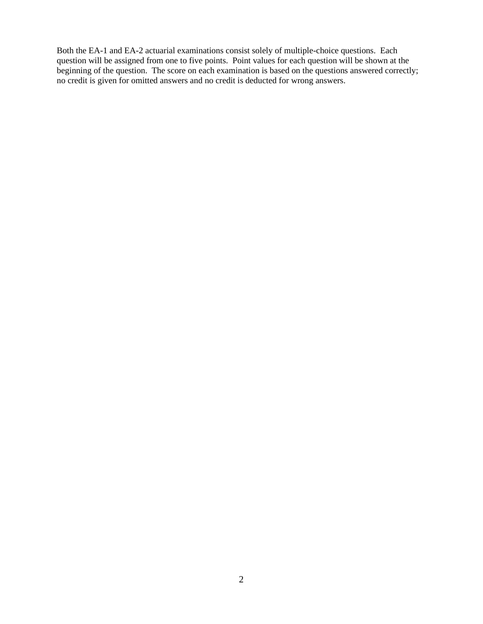Both the EA-1 and EA-2 actuarial examinations consist solely of multiple-choice questions. Each question will be assigned from one to five points. Point values for each question will be shown at the beginning of the question. The score on each examination is based on the questions answered correctly; no credit is given for omitted answers and no credit is deducted for wrong answers.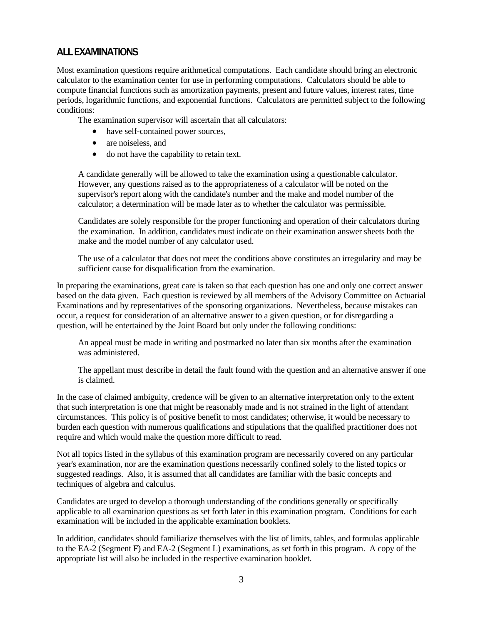# <span id="page-4-0"></span>ALL EXAMINATIONS

Most examination questions require arithmetical computations. Each candidate should bring an electronic calculator to the examination center for use in performing computations. Calculators should be able to compute financial functions such as amortization payments, present and future values, interest rates, time periods, logarithmic functions, and exponential functions. Calculators are permitted subject to the following conditions:

The examination supervisor will ascertain that all calculators:

- have self-contained power sources,
- are noiseless, and
- do not have the capability to retain text.

A candidate generally will be allowed to take the examination using a questionable calculator. However, any questions raised as to the appropriateness of a calculator will be noted on the supervisor's report along with the candidate's number and the make and model number of the calculator; a determination will be made later as to whether the calculator was permissible.

Candidates are solely responsible for the proper functioning and operation of their calculators during the examination. In addition, candidates must indicate on their examination answer sheets both the make and the model number of any calculator used.

The use of a calculator that does not meet the conditions above constitutes an irregularity and may be sufficient cause for disqualification from the examination.

In preparing the examinations, great care is taken so that each question has one and only one correct answer based on the data given. Each question is reviewed by all members of the Advisory Committee on Actuarial Examinations and by representatives of the sponsoring organizations. Nevertheless, because mistakes can occur, a request for consideration of an alternative answer to a given question, or for disregarding a question, will be entertained by the Joint Board but only under the following conditions:

An appeal must be made in writing and postmarked no later than six months after the examination was administered.

The appellant must describe in detail the fault found with the question and an alternative answer if one is claimed.

In the case of claimed ambiguity, credence will be given to an alternative interpretation only to the extent that such interpretation is one that might be reasonably made and is not strained in the light of attendant circumstances. This policy is of positive benefit to most candidates; otherwise, it would be necessary to burden each question with numerous qualifications and stipulations that the qualified practitioner does not require and which would make the question more difficult to read.

Not all topics listed in the syllabus of this examination program are necessarily covered on any particular year's examination, nor are the examination questions necessarily confined solely to the listed topics or suggested readings. Also, it is assumed that all candidates are familiar with the basic concepts and techniques of algebra and calculus.

Candidates are urged to develop a thorough understanding of the conditions generally or specifically applicable to all examination questions as set forth later in this examination program. Conditions for each examination will be included in the applicable examination booklets.

In addition, candidates should familiarize themselves with the list of limits, tables, and formulas applicable to the EA-2 (Segment F) and EA-2 (Segment L) examinations, as set forth in this program. A copy of the appropriate list will also be included in the respective examination booklet.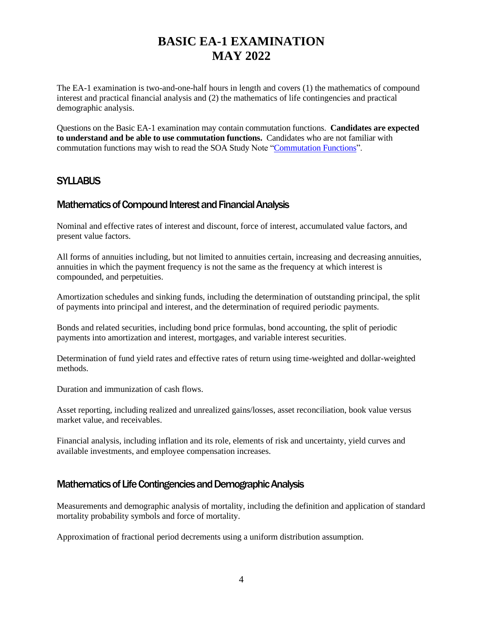# **BASIC EA-1 EXAMINATION MAY 2022**

<span id="page-5-0"></span>The EA-1 examination is two-and-one-half hours in length and covers (1) the mathematics of compound interest and practical financial analysis and (2) the mathematics of life contingencies and practical demographic analysis.

Questions on the Basic EA-1 examination may contain commutation functions. **Candidates are expected to understand and be able to use commutation functions.** Candidates who are not familiar with commutation functions may wish to read the SOA Study Note ["Commutation Functions"](https://www.soa.org/globalassets/assets/files/edu/edu-2009-fall-ea-sn-com.pdf).

# **SYLLABUS**

# Mathematics of Compound Interest and Financial Analysis

Nominal and effective rates of interest and discount, force of interest, accumulated value factors, and present value factors.

All forms of annuities including, but not limited to annuities certain, increasing and decreasing annuities, annuities in which the payment frequency is not the same as the frequency at which interest is compounded, and perpetuities.

Amortization schedules and sinking funds, including the determination of outstanding principal, the split of payments into principal and interest, and the determination of required periodic payments.

Bonds and related securities, including bond price formulas, bond accounting, the split of periodic payments into amortization and interest, mortgages, and variable interest securities.

Determination of fund yield rates and effective rates of return using time-weighted and dollar-weighted methods.

Duration and immunization of cash flows.

Asset reporting, including realized and unrealized gains/losses, asset reconciliation, book value versus market value, and receivables.

Financial analysis, including inflation and its role, elements of risk and uncertainty, yield curves and available investments, and employee compensation increases.

### Mathematics of Life Contingencies and Demographic Analysis

Measurements and demographic analysis of mortality, including the definition and application of standard mortality probability symbols and force of mortality.

Approximation of fractional period decrements using a uniform distribution assumption.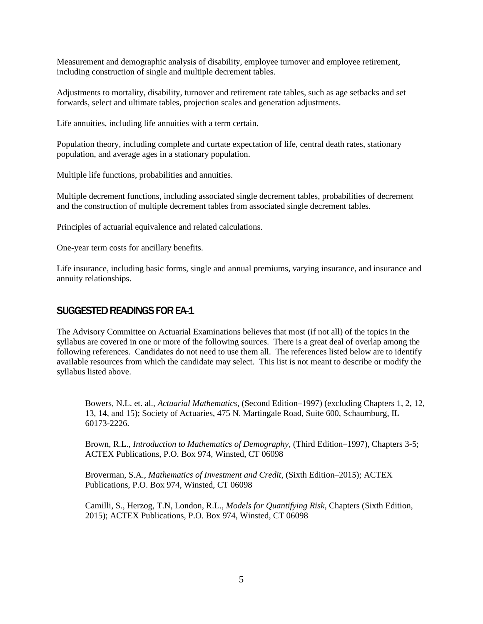Measurement and demographic analysis of disability, employee turnover and employee retirement, including construction of single and multiple decrement tables.

Adjustments to mortality, disability, turnover and retirement rate tables, such as age setbacks and set forwards, select and ultimate tables, projection scales and generation adjustments.

Life annuities, including life annuities with a term certain.

Population theory, including complete and curtate expectation of life, central death rates, stationary population, and average ages in a stationary population.

Multiple life functions, probabilities and annuities.

Multiple decrement functions, including associated single decrement tables, probabilities of decrement and the construction of multiple decrement tables from associated single decrement tables.

Principles of actuarial equivalence and related calculations.

One-year term costs for ancillary benefits.

Life insurance, including basic forms, single and annual premiums, varying insurance, and insurance and annuity relationships.

#### SUGGESTED READINGS FOR EA-1

The Advisory Committee on Actuarial Examinations believes that most (if not all) of the topics in the syllabus are covered in one or more of the following sources. There is a great deal of overlap among the following references. Candidates do not need to use them all. The references listed below are to identify available resources from which the candidate may select. This list is not meant to describe or modify the syllabus listed above.

Bowers, N.L. et. al., *Actuarial Mathematics*, (Second Edition–1997) (excluding Chapters 1, 2, 12, 13, 14, and 15); Society of Actuaries, 475 N. Martingale Road, Suite 600, Schaumburg, IL 60173-2226.

Brown, R.L., *Introduction to Mathematics of Demography*, (Third Edition–1997), Chapters 3-5; ACTEX Publications, P.O. Box 974, Winsted, CT 06098

Broverman, S.A., *Mathematics of Investment and Credit*, (Sixth Edition–2015); ACTEX Publications, P.O. Box 974, Winsted, CT 06098

Camilli, S., Herzog, T.N, London, R.L., *Models for Quantifying Risk*, Chapters (Sixth Edition, 2015); ACTEX Publications, P.O. Box 974, Winsted, CT 06098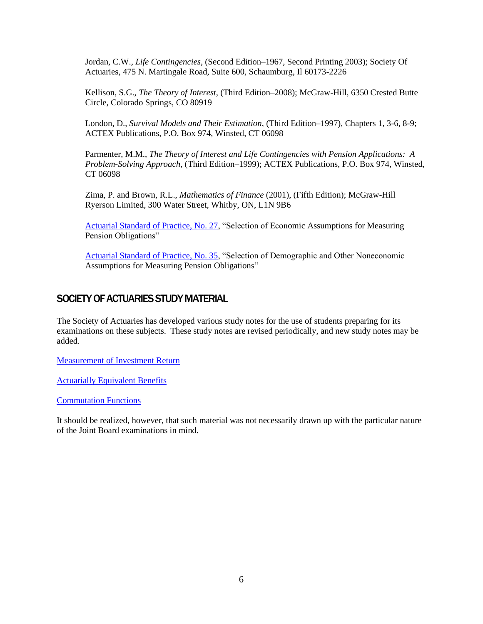Jordan, C.W., *Life Contingencies*, (Second Edition–1967, Second Printing 2003); Society Of Actuaries, 475 N. Martingale Road, Suite 600, Schaumburg, Il 60173-2226

Kellison, S.G., *The Theory of Interest*, (Third Edition–2008); McGraw-Hill, 6350 Crested Butte Circle, Colorado Springs, CO 80919

London, D., *Survival Models and Their Estimation*, (Third Edition–1997), Chapters 1, 3-6, 8-9; ACTEX Publications, P.O. Box 974, Winsted, CT 06098

Parmenter, M.M., *The Theory of Interest and Life Contingencies with Pension Applications: A Problem-Solving Approach*, (Third Edition–1999); ACTEX Publications, P.O. Box 974, Winsted, CT 06098

Zima, P. and Brown, R.L., *Mathematics of Finance* (2001), (Fifth Edition); McGraw-Hill Ryerson Limited, 300 Water Street, Whitby, ON, L1N 9B6

[Actuarial Standard of Practice, No. 27,](http://www.actuarialstandardsboard.org/wp-content/uploads/2014/02/asop027_172.pdf) "Selection of Economic Assumptions for Measuring Pension Obligations"

[Actuarial Standard of Practice, No. 35,](http://www.actuarialstandardsboard.org/wp-content/uploads/2014/02/asop035_1781.pdf) "Selection of Demographic and Other Noneconomic Assumptions for Measuring Pension Obligations"

#### SOCIETY OF ACTUARIES STUDY MATERIAL

The Society of Actuaries has developed various study notes for the use of students preparing for its examinations on these subjects. These study notes are revised periodically, and new study notes may be added.

[Measurement of Investment Return](https://www.soa.org/globalassets/assets/files/edu/edu-2009-fall-ea1-sn.pdf)

[Actuarially Equivalent Benefits](https://www.soa.org/globalassets/assets/files/edu/edu-2009-fall-ea1-02-sn.pdf)

[Commutation Functions](https://www.soa.org/globalassets/assets/files/edu/edu-2009-fall-ea-sn-com.pdf)

It should be realized, however, that such material was not necessarily drawn up with the particular nature of the Joint Board examinations in mind.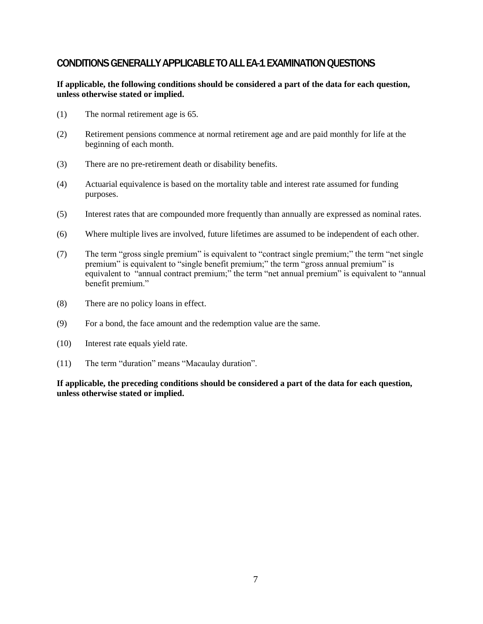# CONDITIONS GENERALLY APPLICABLE TO ALL EA-1 EXAMINATION QUESTIONS

#### **If applicable, the following conditions should be considered a part of the data for each question, unless otherwise stated or implied.**

- (1) The normal retirement age is 65.
- (2) Retirement pensions commence at normal retirement age and are paid monthly for life at the beginning of each month.
- (3) There are no pre-retirement death or disability benefits.
- (4) Actuarial equivalence is based on the mortality table and interest rate assumed for funding purposes.
- (5) Interest rates that are compounded more frequently than annually are expressed as nominal rates.
- (6) Where multiple lives are involved, future lifetimes are assumed to be independent of each other.
- (7) The term "gross single premium" is equivalent to "contract single premium;" the term "net single premium" is equivalent to "single benefit premium;" the term "gross annual premium" is equivalent to "annual contract premium;" the term "net annual premium" is equivalent to "annual benefit premium."
- (8) There are no policy loans in effect.
- (9) For a bond, the face amount and the redemption value are the same.
- (10) Interest rate equals yield rate.
- (11) The term "duration" means "Macaulay duration".

**If applicable, the preceding conditions should be considered a part of the data for each question, unless otherwise stated or implied.**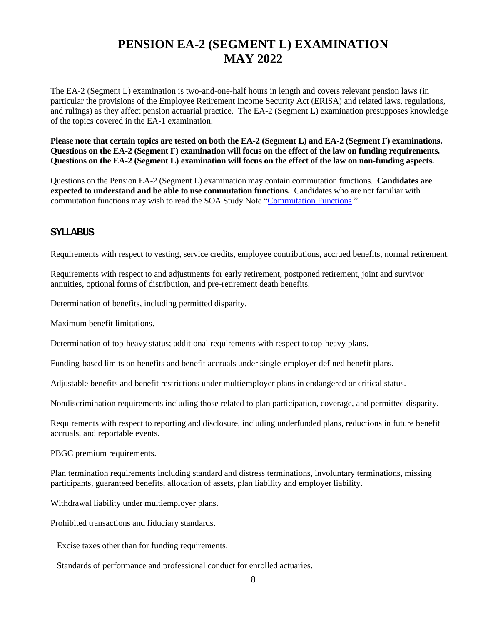# **PENSION EA-2 (SEGMENT L) EXAMINATION MAY 2022**

<span id="page-9-0"></span>The EA-2 (Segment L) examination is two-and-one-half hours in length and covers relevant pension laws (in particular the provisions of the Employee Retirement Income Security Act (ERISA) and related laws, regulations, and rulings) as they affect pension actuarial practice. The EA-2 (Segment L) examination presupposes knowledge of the topics covered in the EA-1 examination.

**Please note that certain topics are tested on both the EA-2 (Segment L) and EA-2 (Segment F) examinations. Questions on the EA-2 (Segment F) examination will focus on the effect of the law on funding requirements. Questions on the EA-2 (Segment L) examination will focus on the effect of the law on non-funding aspects.** 

Questions on the Pension EA-2 (Segment L) examination may contain commutation functions. **Candidates are expected to understand and be able to use commutation functions.** Candidates who are not familiar with commutation functions may wish to read the SOA Study Note ["Commutation Functions.](https://www.soa.org/globalassets/assets/files/edu/edu-2009-fall-ea-sn-com.pdf)"

# **SYLLABUS**

Requirements with respect to vesting, service credits, employee contributions, accrued benefits, normal retirement.

Requirements with respect to and adjustments for early retirement, postponed retirement, joint and survivor annuities, optional forms of distribution, and pre-retirement death benefits.

Determination of benefits, including permitted disparity.

Maximum benefit limitations.

Determination of top-heavy status; additional requirements with respect to top-heavy plans.

Funding-based limits on benefits and benefit accruals under single-employer defined benefit plans.

Adjustable benefits and benefit restrictions under multiemployer plans in endangered or critical status.

Nondiscrimination requirements including those related to plan participation, coverage, and permitted disparity.

Requirements with respect to reporting and disclosure, including underfunded plans, reductions in future benefit accruals, and reportable events.

PBGC premium requirements.

Plan termination requirements including standard and distress terminations, involuntary terminations, missing participants, guaranteed benefits, allocation of assets, plan liability and employer liability.

Withdrawal liability under multiemployer plans.

Prohibited transactions and fiduciary standards.

Excise taxes other than for funding requirements.

Standards of performance and professional conduct for enrolled actuaries.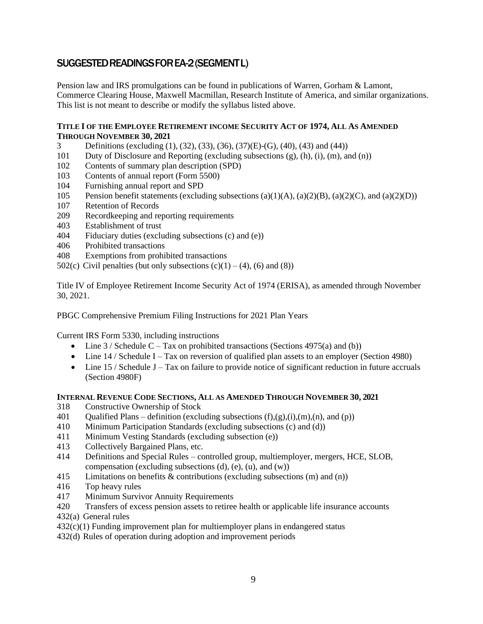# SUGGESTED READINGS FOR EA-2 (SEGMENT L)

Pension law and IRS promulgations can be found in publications of Warren, Gorham & Lamont, Commerce Clearing House, Maxwell Macmillan, Research Institute of America, and similar organizations. This list is not meant to describe or modify the syllabus listed above.

#### **TITLE I OF THE EMPLOYEE RETIREMENT INCOME SECURITY ACT OF 1974, ALL AS AMENDED THROUGH NOVEMBER 30, 2021**

- 3 Definitions (excluding (1), (32), (33), (36), (37)(E)-(G), (40), (43) and (44))
- 101 Duty of Disclosure and Reporting (excluding subsections (g), (h), (i), (m), and (n))
- 102 Contents of summary plan description (SPD)
- 103 Contents of annual report (Form 5500)
- 104 Furnishing annual report and SPD
- 105 Pension benefit statements (excluding subsections (a)(1)(A), (a)(2)(B), (a)(2)(C), and (a)(2)(D))
- 107 Retention of Records
- 209 Recordkeeping and reporting requirements
- 403 Establishment of trust
- 404 Fiduciary duties (excluding subsections (c) and (e))
- 406 Prohibited transactions
- 408 Exemptions from prohibited transactions
- 502(c) Civil penalties (but only subsections  $(c)(1) (4)$ ,  $(6)$  and  $(8)$ )

Title IV of Employee Retirement Income Security Act of 1974 (ERISA), as amended through November 30, 2021.

PBGC Comprehensive Premium Filing Instructions for 2021 Plan Years

Current IRS Form 5330, including instructions

- Line  $3 /$  Schedule C Tax on prohibited transactions (Sections 4975(a) and (b))
- Line  $14 /$  Schedule I Tax on reversion of qualified plan assets to an employer (Section 4980)
- Line  $15 /$  Schedule J Tax on failure to provide notice of significant reduction in future accruals (Section 4980F)

#### **INTERNAL REVENUE CODE SECTIONS, ALL AS AMENDED THROUGH NOVEMBER 30, 2021**

- 318 Constructive Ownership of Stock
- 401 Qualified Plans definition (excluding subsections  $(f),(g),(i),(m),(n),$  and  $(p)$ )
- 410 Minimum Participation Standards (excluding subsections (c) and (d))
- 411 Minimum Vesting Standards (excluding subsection (e))
- 413 Collectively Bargained Plans, etc.
- 414 Definitions and Special Rules controlled group, multiemployer, mergers, HCE, SLOB, compensation (excluding subsections  $(d)$ ,  $(e)$ ,  $(u)$ , and  $(w)$ )
- 415 Limitations on benefits & contributions (excluding subsections (m) and (n))
- 416 Top heavy rules
- 417 Minimum Survivor Annuity Requirements
- 420 Transfers of excess pension assets to retiree health or applicable life insurance accounts
- 432(a) General rules
- $432(c)(1)$  Funding improvement plan for multiemployer plans in endangered status
- 432(d) Rules of operation during adoption and improvement periods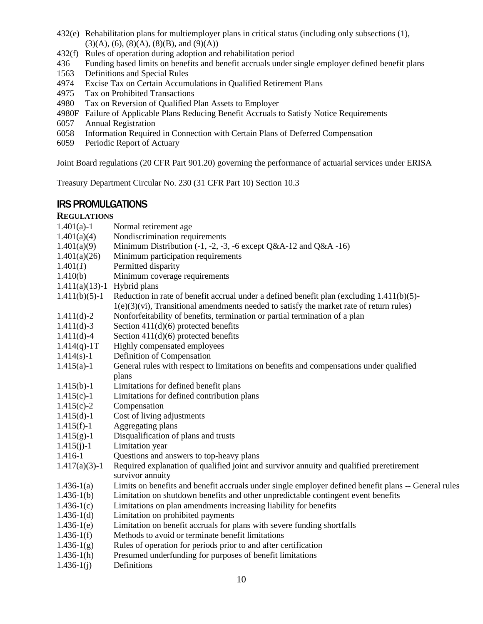- 432(e) Rehabilitation plans for multiemployer plans in critical status (including only subsections (1),  $(3)(A)$ ,  $(6)$ ,  $(8)(A)$ ,  $(8)(B)$ , and  $(9)(A)$
- 432(f) Rules of operation during adoption and rehabilitation period
- 436 Funding based limits on benefits and benefit accruals under single employer defined benefit plans
- 1563 Definitions and Special Rules
- 4974 Excise Tax on Certain Accumulations in Qualified Retirement Plans
- 4975 Tax on Prohibited Transactions
- 4980 Tax on Reversion of Qualified Plan Assets to Employer
- 4980F Failure of Applicable Plans Reducing Benefit Accruals to Satisfy Notice Requirements
- 6057 Annual Registration
- 6058 Information Required in Connection with Certain Plans of Deferred Compensation
- 6059 Periodic Report of Actuary

Joint Board regulations (20 CFR Part 901.20) governing the performance of actuarial services under ERISA

Treasury Department Circular No. 230 (31 CFR Part 10) Section 10.3

# IRS PROMULGATIONS

#### **REGULATIONS**

- 1.401(a)-1 Normal retirement age
- $1.401(a)(4)$  Nondiscrimination requirements
- 1.401(a)(9) Minimum Distribution (-1, -2, -3, -6 except  $Q&A-12$  and  $Q&A-16$ )
- 1.401(a)(26) Minimum participation requirements
- 1.401(*1*) Permitted disparity
- 1.410(b) Minimum coverage requirements
- 1.411(a)(13)-1 Hybrid plans
- 1.411(b)(5)-1 Reduction in rate of benefit accrual under a defined benefit plan (excluding 1.411(b)(5)-  $1(e)(3)(vi)$ , Transitional amendments needed to satisfy the market rate of return rules)
- 1.411(d)-2 Nonforfeitability of benefits, termination or partial termination of a plan
- 1.411(d)-3 Section 411(d)(6) protected benefits
- 1.411(d)-4 Section  $411(d)(6)$  protected benefits
- $1.414(q)$ -1T Highly compensated employees
- 1.414(s)-1 Definition of Compensation
- 1.415(a)-1 General rules with respect to limitations on benefits and compensations under qualified plans
- 1.415(b)-1 Limitations for defined benefit plans
- 1.415(c)-1 Limitations for defined contribution plans
- 1.415(c)-2 Compensation
- 1.415(d)-1 Cost of living adjustments
- 1.415(f)-1 Aggregating plans
- $1.415(g)-1$  Disqualification of plans and trusts
- 1.415(j)-1 Limitation year
- 1.416-1 Questions and answers to top-heavy plans
- 1.417(a)(3)-1 Required explanation of qualified joint and survivor annuity and qualified preretirement survivor annuity
- 1.436-1(a) Limits on benefits and benefit accruals under single employer defined benefit plans -- General rules
- 1.436-1(b) Limitation on shutdown benefits and other unpredictable contingent event benefits
- 1.436-1(c) Limitations on plan amendments increasing liability for benefits
- 1.436-1(d) Limitation on prohibited payments
- 1.436-1(e) Limitation on benefit accruals for plans with severe funding shortfalls
- 1.436-1(f) Methods to avoid or terminate benefit limitations
- 1.436-1(g) Rules of operation for periods prior to and after certification
- 1.436-1(h) Presumed underfunding for purposes of benefit limitations
- $1.436-1(i)$  Definitions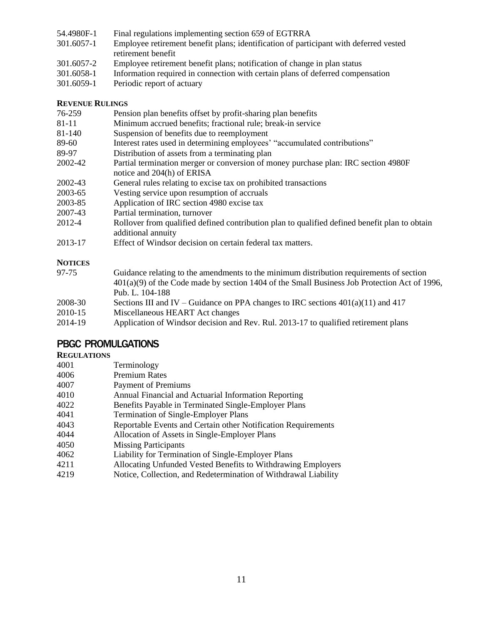- 54.4980F-1 Final regulations implementing section 659 of EGTRRA
- 301.6057-1 Employee retirement benefit plans; identification of participant with deferred vested retirement benefit
- 301.6057-2 Employee retirement benefit plans; notification of change in plan status
- 301.6058-1 Information required in connection with certain plans of deferred compensation
- 301.6059-1 Periodic report of actuary

#### **REVENUE RULINGS**

- 76-259 Pension plan benefits offset by profit-sharing plan benefits
- 81-11 Minimum accrued benefits; fractional rule; break-in service
- 81-140 Suspension of benefits due to reemployment
- 89-60 Interest rates used in determining employees' "accumulated contributions"
- 89-97 Distribution of assets from a terminating plan
- 2002-42 Partial termination merger or conversion of money purchase plan: IRC section 4980F notice and 204(h) of ERISA
- 2002-43 General rules relating to excise tax on prohibited transactions
- 2003-65 Vesting service upon resumption of accruals
- 2003-85 Application of IRC section 4980 excise tax
- 2007-43 Partial termination, turnover
- 2012-4 Rollover from qualified defined contribution plan to qualified defined benefit plan to obtain additional annuity
- 2013-17 Effect of Windsor decision on certain federal tax matters.

#### **NOTICES**

| 97-75   | Guidance relating to the amendments to the minimum distribution requirements of section        |
|---------|------------------------------------------------------------------------------------------------|
|         | $401(a)(9)$ of the Code made by section 1404 of the Small Business Job Protection Act of 1996, |
|         | Pub. L. 104-188                                                                                |
| 2008-30 | Sections III and IV – Guidance on PPA changes to IRC sections $401(a)(11)$ and $417$           |
| 2010-15 | Miscellaneous HEART Act changes                                                                |
| 2014-19 | Application of Windsor decision and Rev. Rul. 2013-17 to qualified retirement plans            |

# PBGC PROMULGATIONS

#### **REGULATIONS**

| 4001 | Terminology                                                     |
|------|-----------------------------------------------------------------|
| 4006 | <b>Premium Rates</b>                                            |
| 4007 | <b>Payment of Premiums</b>                                      |
| 4010 | Annual Financial and Actuarial Information Reporting            |
| 4022 | Benefits Payable in Terminated Single-Employer Plans            |
| 4041 | <b>Termination of Single-Employer Plans</b>                     |
| 4043 | Reportable Events and Certain other Notification Requirements   |
| 4044 | Allocation of Assets in Single-Employer Plans                   |
| 4050 | <b>Missing Participants</b>                                     |
| 4062 | Liability for Termination of Single-Employer Plans              |
| 4211 | Allocating Unfunded Vested Benefits to Withdrawing Employers    |
| 4219 | Notice, Collection, and Redetermination of Withdrawal Liability |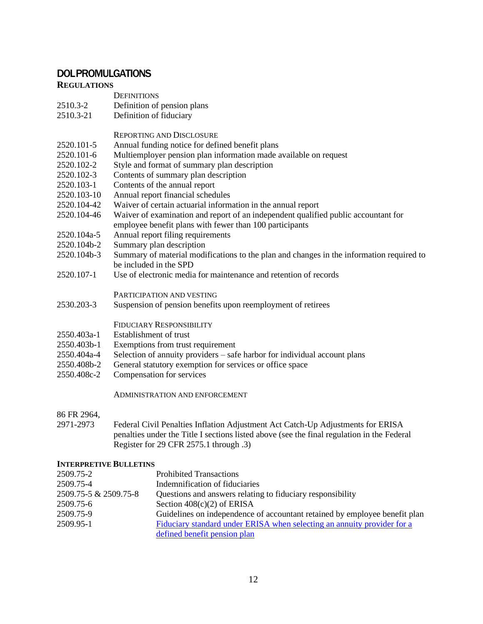# DOL PROMULGATIONS

#### **REGULATIONS**

- 2510.3-2 Definition of pension plans
- 2510.3-21 Definition of fiduciary

#### REPORTING AND DISCLOSURE

- 2520.101-5 Annual funding notice for defined benefit plans
- 2520.101-6 Multiemployer pension plan information made available on request
- 2520.102-2 Style and format of summary plan description
- 2520.102-3 Contents of summary plan description
- 2520.103-1 Contents of the annual report
- 2520.103-10 Annual report financial schedules
- 2520.104-42 Waiver of certain actuarial information in the annual report
- 2520.104-46 Waiver of examination and report of an independent qualified public accountant for employee benefit plans with fewer than 100 participants
- 2520.104a-5 Annual report filing requirements
- 2520.104b-2 Summary plan description
- 2520.104b-3 Summary of material modifications to the plan and changes in the information required to be included in the SPD
- 2520.107-1 Use of electronic media for maintenance and retention of records

#### PARTICIPATION AND VESTING

2530.203-3 Suspension of pension benefits upon reemployment of retirees

#### FIDUCIARY RESPONSIBILITY

- 2550.403a-1 Establishment of trust
- 2550.403b-1 Exemptions from trust requirement
- 2550.404a-4 Selection of annuity providers safe harbor for individual account plans
- 2550.408b-2 General statutory exemption for services or office space
- 2550.408c-2 Compensation for services

#### ADMINISTRATION AND ENFORCEMENT

86 FR 2964,

2971-2973 Federal Civil Penalties Inflation Adjustment Act Catch-Up Adjustments for ERISA penalties under the Title I sections listed above (see the final regulation in the Federal Register for 29 CFR 2575.1 through .3)

#### **INTERPRETIVE BULLETINS**

| 2509.75-2             | <b>Prohibited Transactions</b>                                             |
|-----------------------|----------------------------------------------------------------------------|
| 2509.75-4             | Indemnification of fiduciaries                                             |
| 2509.75-5 & 2509.75-8 | Questions and answers relating to fiduciary responsibility                 |
| 2509.75-6             | Section $408(c)(2)$ of ERISA                                               |
| 2509.75-9             | Guidelines on independence of accountant retained by employee benefit plan |
| 2509.95-1             | Fiduciary standard under ERISA when selecting an annuity provider for a    |
|                       | defined benefit pension plan                                               |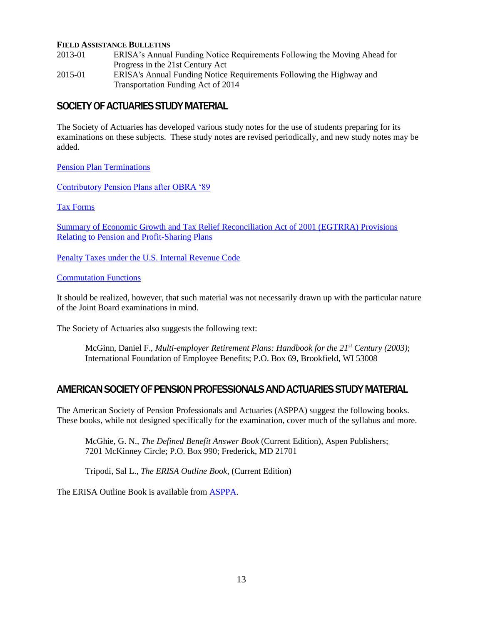#### **FIELD ASSISTANCE BULLETINS**

2013-01 ERISA's Annual Funding Notice Requirements Following the Moving Ahead for Progress in the 21st Century Act 2015-01 ERISA's Annual Funding Notice Requirements Following the Highway and Transportation Funding Act of 2014

#### SOCIETY OF ACTUARIES STUDY MATERIAL

The Society of Actuaries has developed various study notes for the use of students preparing for its examinations on these subjects. These study notes are revised periodically, and new study notes may be added.

[Pension Plan Terminations](https://www.soa.org/globalassets/assets/files/edu/edu-2009-fall-ea2b-sn.pdf)

[Contributory Pension Plans after OBRA '89](https://www.soa.org/globalassets/assets/files/edu/edu-2009-fall-ea2b-02-sn.pdf)

[Tax Forms](https://www.soa.org/globalassets/assets/files/edu/edu-e2b-tax-form.pdf) 

[Summary of Economic Growth and Tax Relief Reconciliation Act of 2001 \(EGTRRA\) Provisions](https://www.soa.org/globalassets/assets/files/edu/edu-2009-fall-ea2b-04-sn.pdf)  Relating to Pension and Profit-Sharing Plans

[Penalty Taxes under the U.S. Internal Revenue Code](https://www.soa.org/globalassets/assets/files/edu/edu-2009-fall-ea2b-2a-sn.pdf) 

[Commutation Functions](https://www.soa.org/globalassets/assets/files/edu/edu-2009-fall-ea-sn-com.pdf) 

It should be realized, however, that such material was not necessarily drawn up with the particular nature of the Joint Board examinations in mind.

The Society of Actuaries also suggests the following text:

McGinn, Daniel F., *Multi-employer Retirement Plans: Handbook for the 21st Century (2003)*; International Foundation of Employee Benefits; P.O. Box 69, Brookfield, WI 53008

### AMERICAN SOCIETY OF PENSION PROFESSIONALS AND ACTUARIES STUDY MATERIAL

The American Society of Pension Professionals and Actuaries (ASPPA) suggest the following books. These books, while not designed specifically for the examination, cover much of the syllabus and more.

McGhie, G. N., *The Defined Benefit Answer Book* (Current Edition), Aspen Publishers; 7201 McKinney Circle; P.O. Box 990; Frederick, MD 21701

Tripodi, Sal L., *The ERISA Outline Book*, (Current Edition)

The ERISA Outline Book is available from [ASPPA.](http://www.asppa.org/Resources/Publications)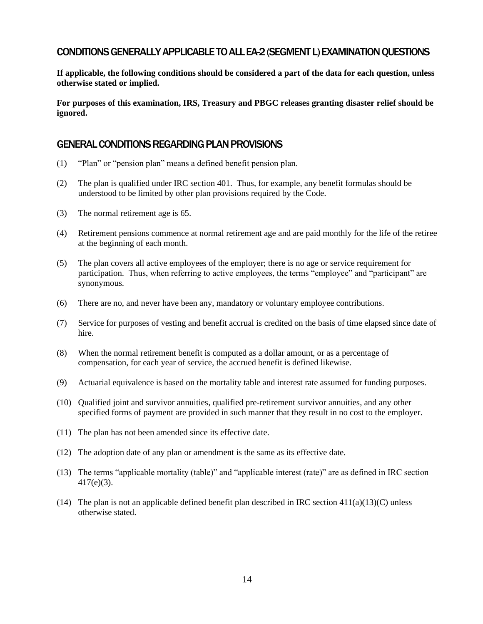# CONDITIONS GENERALLY APPLICABLE TO ALL EA-2 (SEGMENT L) EXAMINATION QUESTIONS

**If applicable, the following conditions should be considered a part of the data for each question, unless otherwise stated or implied.** 

**For purposes of this examination, IRS, Treasury and PBGC releases granting disaster relief should be ignored.** 

#### GENERAL CONDITIONS REGARDING PLAN PROVISIONS

- (1) "Plan" or "pension plan" means a defined benefit pension plan.
- (2) The plan is qualified under IRC section 401. Thus, for example, any benefit formulas should be understood to be limited by other plan provisions required by the Code.
- (3) The normal retirement age is 65.
- (4) Retirement pensions commence at normal retirement age and are paid monthly for the life of the retiree at the beginning of each month.
- (5) The plan covers all active employees of the employer; there is no age or service requirement for participation. Thus, when referring to active employees, the terms "employee" and "participant" are synonymous.
- (6) There are no, and never have been any, mandatory or voluntary employee contributions.
- (7) Service for purposes of vesting and benefit accrual is credited on the basis of time elapsed since date of hire.
- (8) When the normal retirement benefit is computed as a dollar amount, or as a percentage of compensation, for each year of service, the accrued benefit is defined likewise.
- (9) Actuarial equivalence is based on the mortality table and interest rate assumed for funding purposes.
- (10) Qualified joint and survivor annuities, qualified pre-retirement survivor annuities, and any other specified forms of payment are provided in such manner that they result in no cost to the employer.
- (11) The plan has not been amended since its effective date.
- (12) The adoption date of any plan or amendment is the same as its effective date.
- (13) The terms "applicable mortality (table)" and "applicable interest (rate)" are as defined in IRC section 417(e)(3).
- (14) The plan is not an applicable defined benefit plan described in IRC section  $411(a)(13)(C)$  unless otherwise stated.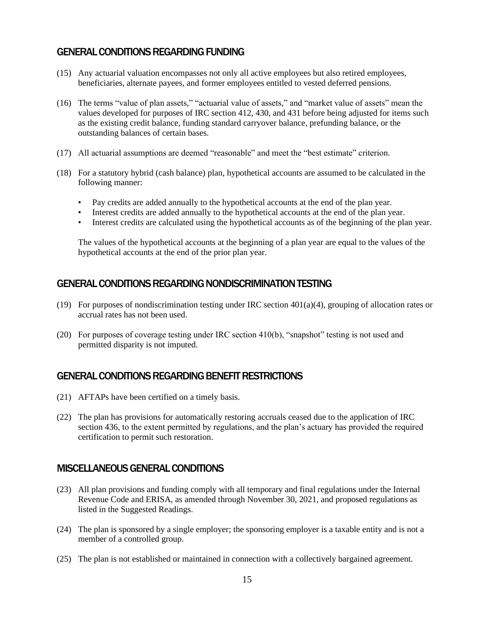# GENERAL CONDITIONS REGARDING FUNDING

- (15) Any actuarial valuation encompasses not only all active employees but also retired employees, beneficiaries, alternate payees, and former employees entitled to vested deferred pensions.
- (16) The terms "value of plan assets," "actuarial value of assets," and "market value of assets" mean the values developed for purposes of IRC section 412, 430, and 431 before being adjusted for items such as the existing credit balance, funding standard carryover balance, prefunding balance, or the outstanding balances of certain bases.
- (17) All actuarial assumptions are deemed "reasonable" and meet the "best estimate" criterion.
- (18) For a statutory hybrid (cash balance) plan, hypothetical accounts are assumed to be calculated in the following manner:
	- Pay credits are added annually to the hypothetical accounts at the end of the plan year.
	- Interest credits are added annually to the hypothetical accounts at the end of the plan year.
	- Interest credits are calculated using the hypothetical accounts as of the beginning of the plan year.

 The values of the hypothetical accounts at the beginning of a plan year are equal to the values of the hypothetical accounts at the end of the prior plan year.

### GENERAL CONDITIONS REGARDING NONDISCRIMINATION TESTING

- (19) For purposes of nondiscrimination testing under IRC section  $401(a)(4)$ , grouping of allocation rates or accrual rates has not been used.
- (20) For purposes of coverage testing under IRC section 410(b), "snapshot" testing is not used and permitted disparity is not imputed.

### GENERAL CONDITIONS REGARDING BENEFIT RESTRICTIONS

- (21) AFTAPs have been certified on a timely basis.
- (22) The plan has provisions for automatically restoring accruals ceased due to the application of IRC section 436, to the extent permitted by regulations, and the plan's actuary has provided the required certification to permit such restoration.

### MISCELLANEOUS GENERAL CONDITIONS

- (23) All plan provisions and funding comply with all temporary and final regulations under the Internal Revenue Code and ERISA, as amended through November 30, 2021, and proposed regulations as listed in the Suggested Readings.
- (24) The plan is sponsored by a single employer; the sponsoring employer is a taxable entity and is not a member of a controlled group.
- (25) The plan is not established or maintained in connection with a collectively bargained agreement.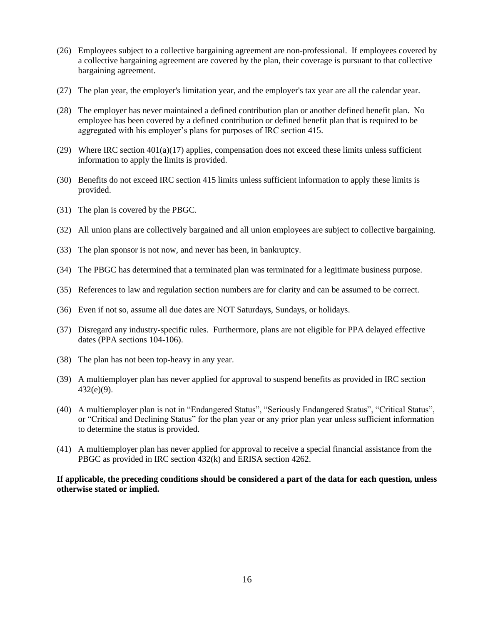- (26) Employees subject to a collective bargaining agreement are non-professional. If employees covered by a collective bargaining agreement are covered by the plan, their coverage is pursuant to that collective bargaining agreement.
- (27) The plan year, the employer's limitation year, and the employer's tax year are all the calendar year.
- (28) The employer has never maintained a defined contribution plan or another defined benefit plan. No employee has been covered by a defined contribution or defined benefit plan that is required to be aggregated with his employer's plans for purposes of IRC section 415.
- (29) Where IRC section 401(a)(17) applies, compensation does not exceed these limits unless sufficient information to apply the limits is provided.
- (30) Benefits do not exceed IRC section 415 limits unless sufficient information to apply these limits is provided.
- (31) The plan is covered by the PBGC.
- (32) All union plans are collectively bargained and all union employees are subject to collective bargaining.
- (33) The plan sponsor is not now, and never has been, in bankruptcy.
- (34) The PBGC has determined that a terminated plan was terminated for a legitimate business purpose.
- (35) References to law and regulation section numbers are for clarity and can be assumed to be correct.
- (36) Even if not so, assume all due dates are NOT Saturdays, Sundays, or holidays.
- (37) Disregard any industry-specific rules. Furthermore, plans are not eligible for PPA delayed effective dates (PPA sections 104-106).
- (38) The plan has not been top-heavy in any year.
- (39) A multiemployer plan has never applied for approval to suspend benefits as provided in IRC section 432(e)(9).
- (40) A multiemployer plan is not in "Endangered Status", "Seriously Endangered Status", "Critical Status", or "Critical and Declining Status" for the plan year or any prior plan year unless sufficient information to determine the status is provided.
- (41) A multiemployer plan has never applied for approval to receive a special financial assistance from the PBGC as provided in IRC section 432(k) and ERISA section 4262.

**If applicable, the preceding conditions should be considered a part of the data for each question, unless otherwise stated or implied.**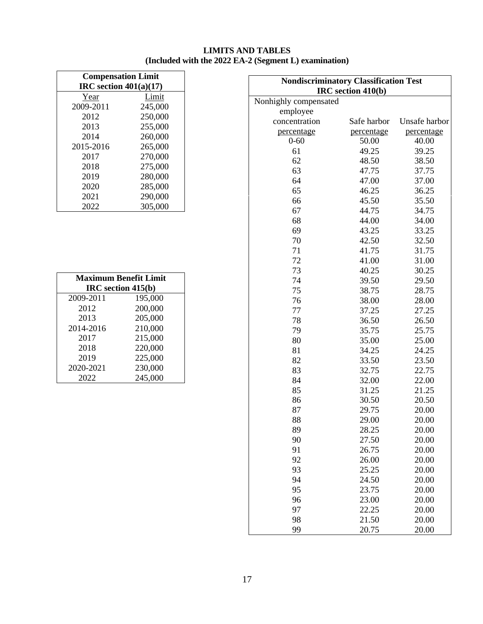#### **LIMITS AND TABLES (Included with the 2022 EA-2 (Segment L) examination)**

| <b>Compensation Limit</b><br>IRC section $401(a)(17)$ |         |  |  |
|-------------------------------------------------------|---------|--|--|
| Year                                                  | Limit   |  |  |
| 2009-2011                                             | 245,000 |  |  |
| 2012                                                  | 250,000 |  |  |
| 2013                                                  | 255,000 |  |  |
| 2014                                                  | 260,000 |  |  |
| 2015-2016                                             | 265,000 |  |  |
| 2017                                                  | 270,000 |  |  |
| 2018                                                  | 275,000 |  |  |
| 2019                                                  | 280,000 |  |  |
| 2020                                                  | 285,000 |  |  |
| 2021                                                  | 290,000 |  |  |
| 2022                                                  | 305,000 |  |  |

| <b>Maximum Benefit Limit</b><br>IRC section 415(b) |         |  |  |
|----------------------------------------------------|---------|--|--|
| 2009-2011                                          | 195,000 |  |  |
| 2012                                               | 200,000 |  |  |
| 2013                                               | 205,000 |  |  |
| 2014-2016                                          | 210,000 |  |  |
| 2017                                               | 215,000 |  |  |
| 2018                                               | 220,000 |  |  |
| 2019                                               | 225,000 |  |  |
| 2020-2021                                          | 230,000 |  |  |
| 2022                                               | 245,000 |  |  |

| <b>Nondiscriminatory Classification Test</b><br>IRC section 410(b) |             |               |  |  |
|--------------------------------------------------------------------|-------------|---------------|--|--|
| Nonhighly compensated                                              |             |               |  |  |
| employee                                                           |             |               |  |  |
| concentration                                                      | Safe harbor | Unsafe harbor |  |  |
| percentage                                                         | percentage  | percentage    |  |  |
| $0 - 60$                                                           | 50.00       | 40.00         |  |  |
| 61                                                                 | 49.25       | 39.25         |  |  |
| 62                                                                 | 48.50       | 38.50         |  |  |
| 63                                                                 | 47.75       | 37.75         |  |  |
| 64                                                                 | 47.00       | 37.00         |  |  |
| 65                                                                 | 46.25       | 36.25         |  |  |
| 66                                                                 | 45.50       | 35.50         |  |  |
| 67                                                                 | 44.75       | 34.75         |  |  |
| 68                                                                 | 44.00       | 34.00         |  |  |
| 69                                                                 | 43.25       | 33.25         |  |  |
| 70                                                                 | 42.50       | 32.50         |  |  |
| 71                                                                 | 41.75       | 31.75         |  |  |
| 72                                                                 | 41.00       | 31.00         |  |  |
| 73                                                                 | 40.25       | 30.25         |  |  |
| 74                                                                 | 39.50       | 29.50         |  |  |
| 75                                                                 | 38.75       | 28.75         |  |  |
| 76                                                                 | 38.00       | 28.00         |  |  |
| 77                                                                 | 37.25       | 27.25         |  |  |
| 78                                                                 | 36.50       | 26.50         |  |  |
| 79                                                                 | 35.75       | 25.75         |  |  |
| 80                                                                 | 35.00       | 25.00         |  |  |
| 81                                                                 | 34.25       | 24.25         |  |  |
| 82                                                                 | 33.50       | 23.50         |  |  |
| 83                                                                 | 32.75       | 22.75         |  |  |
| 84                                                                 | 32.00       | 22.00         |  |  |
| 85                                                                 | 31.25       | 21.25         |  |  |
| 86                                                                 | 30.50       | 20.50         |  |  |
| 87                                                                 | 29.75       | 20.00         |  |  |
| 88                                                                 | 29.00       | 20.00         |  |  |
| 89                                                                 | 28.25       | 20.00         |  |  |
| 90                                                                 | 27.50       | 20.00         |  |  |
| 91                                                                 | 26.75       | 20.00         |  |  |
| 92                                                                 | 26.00       | 20.00         |  |  |
| 93                                                                 | 25.25       | 20.00         |  |  |
| 94                                                                 | 24.50       | 20.00         |  |  |
| 95                                                                 | 23.75       | 20.00         |  |  |
| 96                                                                 | 23.00       | 20.00         |  |  |
| 97                                                                 | 22.25       | 20.00         |  |  |
| 98                                                                 | 21.50       | 20.00         |  |  |
| 99                                                                 | 20.75       | 20.00         |  |  |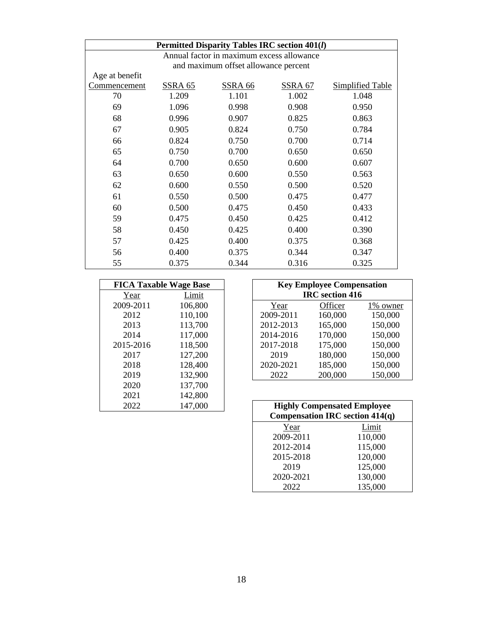| <b>Permitted Disparity Tables IRC section 401(l)</b> |                |                                      |         |                         |
|------------------------------------------------------|----------------|--------------------------------------|---------|-------------------------|
| Annual factor in maximum excess allowance            |                |                                      |         |                         |
|                                                      |                | and maximum offset allowance percent |         |                         |
| Age at benefit                                       |                |                                      |         |                         |
| Commencement                                         | <b>SSRA 65</b> | <b>SSRA 66</b>                       | SSRA 67 | <b>Simplified Table</b> |
| 70                                                   | 1.209          | 1.101                                | 1.002   | 1.048                   |
| 69                                                   | 1.096          | 0.998                                | 0.908   | 0.950                   |
| 68                                                   | 0.996          | 0.907                                | 0.825   | 0.863                   |
| 67                                                   | 0.905          | 0.824                                | 0.750   | 0.784                   |
| 66                                                   | 0.824          | 0.750                                | 0.700   | 0.714                   |
| 65                                                   | 0.750          | 0.700                                | 0.650   | 0.650                   |
| 64                                                   | 0.700          | 0.650                                | 0.600   | 0.607                   |
| 63                                                   | 0.650          | 0.600                                | 0.550   | 0.563                   |
| 62                                                   | 0.600          | 0.550                                | 0.500   | 0.520                   |
| 61                                                   | 0.550          | 0.500                                | 0.475   | 0.477                   |
| 60                                                   | 0.500          | 0.475                                | 0.450   | 0.433                   |
| 59                                                   | 0.475          | 0.450                                | 0.425   | 0.412                   |
| 58                                                   | 0.450          | 0.425                                | 0.400   | 0.390                   |
| 57                                                   | 0.425          | 0.400                                | 0.375   | 0.368                   |
| 56                                                   | 0.400          | 0.375                                | 0.344   | 0.347                   |
| 55                                                   | 0.375          | 0.344                                | 0.316   | 0.325                   |

| <b>FICA Taxable Wage Base</b> |         |
|-------------------------------|---------|
| Year                          | Limit   |
| 2009-2011                     | 106,800 |
| 2012                          | 110,100 |
| 2013                          | 113,700 |
| 2014                          | 117,000 |
| 2015-2016                     | 118,500 |
| 2017                          | 127,200 |
| 2018                          | 128,400 |
| 2019                          | 132,900 |
| 2020                          | 137,700 |
| 2021                          | 142,800 |
| 2022                          | 147,000 |

| <b>FICA Taxable Wage Base</b> |         |           | <b>Key Employee Compensation</b> |           |
|-------------------------------|---------|-----------|----------------------------------|-----------|
| Year                          | Limit   |           | <b>IRC</b> section 416           |           |
| 2009-2011                     | 106,800 | Year      | Officer                          | 1\% owner |
| 2012                          | 110,100 | 2009-2011 | 160,000                          | 150,000   |
| 2013                          | 113,700 | 2012-2013 | 165,000                          | 150,000   |
| 2014                          | 117,000 | 2014-2016 | 170,000                          | 150,000   |
| 2015-2016                     | 118,500 | 2017-2018 | 175,000                          | 150,000   |
| 2017                          | 127,200 | 2019      | 180,000                          | 150,000   |
| 2018                          | 128,400 | 2020-2021 | 185,000                          | 150,000   |
| 2019                          | 132,900 | 2022      | 200,000                          | 150,000   |
| - - - -                       |         |           |                                  |           |

| 2022 | 147,000 |           | <b>Highly Compensated Employee</b><br><b>Compensation IRC section 414(q)</b> |  |
|------|---------|-----------|------------------------------------------------------------------------------|--|
|      |         | Year      | Limit                                                                        |  |
|      |         | 2009-2011 | 110,000                                                                      |  |
|      |         | 2012-2014 | 115,000                                                                      |  |
|      |         | 2015-2018 | 120,000                                                                      |  |
|      |         | 2019      | 125,000                                                                      |  |
|      |         | 2020-2021 | 130,000                                                                      |  |
|      |         | 2022      | 135,000                                                                      |  |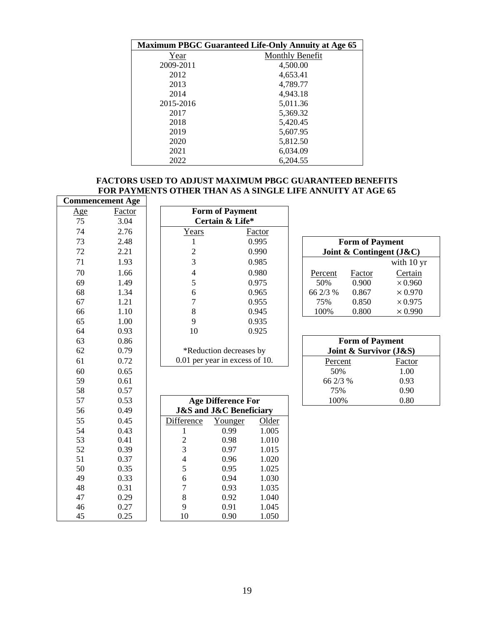| <b>Maximum PBGC Guaranteed Life-Only Annuity at Age 65</b> |                        |  |  |  |
|------------------------------------------------------------|------------------------|--|--|--|
| Year                                                       | <b>Monthly Benefit</b> |  |  |  |
| 2009-2011                                                  | 4,500.00               |  |  |  |
| 2012                                                       | 4,653.41               |  |  |  |
| 2013                                                       | 4,789.77               |  |  |  |
| 2014                                                       | 4,943.18               |  |  |  |
| 2015-2016                                                  | 5,011.36               |  |  |  |
| 2017                                                       | 5,369.32               |  |  |  |
| 2018                                                       | 5,420.45               |  |  |  |
| 2019                                                       | 5,607.95               |  |  |  |
| 2020                                                       | 5,812.50               |  |  |  |
| 2021                                                       | 6,034.09               |  |  |  |
| 2022                                                       | 6,204.55               |  |  |  |

#### **FACTORS USED TO ADJUST MAXIMUM PBGC GUARANTEED BENEFITS FOR PAYMENTS OTHER THAN AS A SINGLE LIFE ANNUITY AT AGE 65**

|            | <b>Commencement Age</b> |                |                                               |               |          |                        |                          |
|------------|-------------------------|----------------|-----------------------------------------------|---------------|----------|------------------------|--------------------------|
| <u>Age</u> | Factor                  |                | <b>Form of Payment</b>                        |               |          |                        |                          |
| 75         | 3.04                    |                | Certain & Life*                               |               |          |                        |                          |
| 74         | 2.76                    | Years          |                                               | <b>Factor</b> |          |                        |                          |
| 73         | 2.48                    | 1              |                                               | 0.995         |          | <b>Form of Payment</b> |                          |
| 72         | 2.21                    | $\overline{c}$ |                                               | 0.990         |          |                        | Joint & Contingent (J&C) |
| 71         | 1.93                    | $\overline{3}$ |                                               | 0.985         |          |                        | with 10 yr               |
| 70         | 1.66                    | 4              |                                               | 0.980         | Percent  | Factor                 | Certain                  |
| 69         | 1.49                    | 5              |                                               | 0.975         | 50%      | 0.900                  | $\times 0.960$           |
| 68         | 1.34                    | 6              |                                               | 0.965         | 66 2/3 % | 0.867                  | $\times 0.970$           |
| 67         | 1.21                    | $\overline{7}$ |                                               | 0.955         | 75%      | 0.850                  | $\times 0.975$           |
| 66         | 1.10                    | 8              |                                               | 0.945         | 100%     | 0.800                  | $\times 0.990$           |
| 65         | 1.00                    | 9              |                                               | 0.935         |          |                        |                          |
| 64         | 0.93                    | 10             |                                               | 0.925         |          |                        |                          |
| 63         | 0.86                    |                |                                               |               |          | <b>Form of Payment</b> |                          |
| 62         | 0.79                    |                | *Reduction decreases by                       |               |          | Joint & Survivor (J&S) |                          |
| 61         | 0.72                    |                | 0.01 per year in excess of 10.                |               | Percent  |                        | Factor                   |
| 60         | 0.65                    |                |                                               |               | 50%      |                        | 1.00                     |
| 59         | 0.61                    |                |                                               |               | 66 2/3 % |                        | 0.93                     |
| 58         | 0.57                    |                |                                               |               | 75%      |                        | 0.90                     |
| 57         | 0.53                    |                | <b>Age Difference For</b>                     |               | 100%     |                        | 0.80                     |
| 56         | 0.49                    |                | <b>J&amp;S</b> and <b>J&amp;C</b> Beneficiary |               |          |                        |                          |
| 55         | 0.45                    | Difference     | Younger                                       | Older         |          |                        |                          |
| 54         | 0.43                    | 1              | 0.99                                          | 1.005         |          |                        |                          |
| 53         | 0.41                    | $\overline{2}$ | 0.98                                          | 1.010         |          |                        |                          |
| 52         | 0.39                    | 3              | 0.97                                          | 1.015         |          |                        |                          |
| 51         | 0.37                    | 4              | 0.96                                          | 1.020         |          |                        |                          |
| 50         | 0.35                    | 5              | 0.95                                          | 1.025         |          |                        |                          |
| 49         | 0.33                    | 6              | 0.94                                          | 1.030         |          |                        |                          |
| 48         | 0.31                    | $\overline{7}$ | 0.93                                          | 1.035         |          |                        |                          |
| 47         | 0.29                    | 8              | 0.92                                          | 1.040         |          |                        |                          |
| 46         | 0.27                    | 9              | 0.91                                          | 1.045         |          |                        |                          |
| 45         | 0.25                    | 10             | 0.90                                          | 1.050         |          |                        |                          |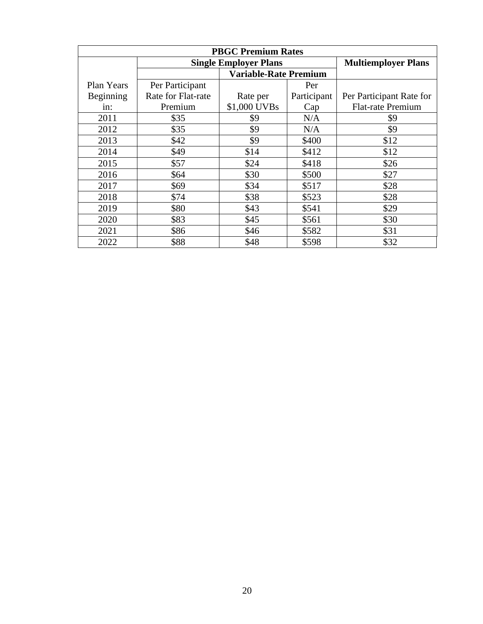| <b>PBGC Premium Rates</b> |                    |                              |             |                            |  |
|---------------------------|--------------------|------------------------------|-------------|----------------------------|--|
|                           |                    | <b>Single Employer Plans</b> |             | <b>Multiemployer Plans</b> |  |
|                           |                    | <b>Variable-Rate Premium</b> |             |                            |  |
| Plan Years                | Per Participant    |                              | Per         |                            |  |
| Beginning                 | Rate for Flat-rate | Rate per                     | Participant | Per Participant Rate for   |  |
| in:                       | Premium            | \$1,000 UVBs                 | Cap         | <b>Flat-rate Premium</b>   |  |
| 2011                      | \$35               | \$9                          | N/A         | \$9                        |  |
| 2012                      | \$35               | \$9                          | N/A         | \$9                        |  |
| 2013                      | \$42               | \$9                          | \$400       | \$12                       |  |
| 2014                      | \$49               | \$14                         | \$412       | \$12                       |  |
| 2015                      | \$57               | \$24                         | \$418       | \$26                       |  |
| 2016                      | \$64               | \$30                         | \$500       | \$27                       |  |
| 2017                      | \$69               | \$34                         | \$517       | \$28                       |  |
| 2018                      | \$74               | \$38                         | \$523       | \$28                       |  |
| 2019                      | \$80               | \$43                         | \$541       | \$29                       |  |
| 2020                      | \$83               | \$45                         | \$561       | \$30                       |  |
| 2021                      | \$86               | \$46                         | \$582       | \$31                       |  |
| 2022                      | \$88               | \$48                         | \$598       | \$32                       |  |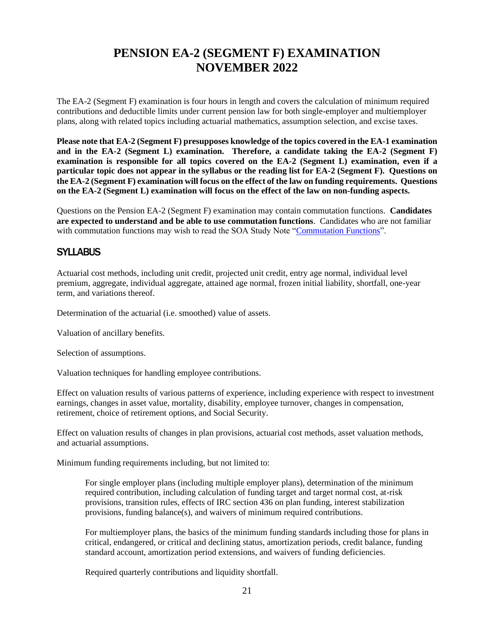# **PENSION EA-2 (SEGMENT F) EXAMINATION NOVEMBER 2022**

<span id="page-22-0"></span>The EA-2 (Segment F) examination is four hours in length and covers the calculation of minimum required contributions and deductible limits under current pension law for both single-employer and multiemployer plans, along with related topics including actuarial mathematics, assumption selection, and excise taxes.

**Please note that EA-2 (Segment F) presupposes knowledge of the topics covered in the EA-1 examination and in the EA-2 (Segment L) examination. Therefore, a candidate taking the EA-2 (Segment F) examination is responsible for all topics covered on the EA-2 (Segment L) examination, even if a particular topic does not appear in the syllabus or the reading list for EA-2 (Segment F). Questions on the EA-2 (Segment F) examination will focus on the effect of the law on funding requirements. Questions on the EA-2 (Segment L) examination will focus on the effect of the law on non-funding aspects.**

Questions on the Pension EA-2 (Segment F) examination may contain commutation functions. **Candidates are expected to understand and be able to use commutation functions**. Candidates who are not familiar with commutation functions may wish to read the SOA Study Note ["Commutation Functions"](https://www.soa.org/globalassets/assets/files/edu/edu-2009-fall-ea-sn-com.pdf).

# **SYLLABUS**

Actuarial cost methods, including unit credit, projected unit credit, entry age normal, individual level premium, aggregate, individual aggregate, attained age normal, frozen initial liability, shortfall, one-year term, and variations thereof.

Determination of the actuarial (i.e. smoothed) value of assets.

Valuation of ancillary benefits.

Selection of assumptions.

Valuation techniques for handling employee contributions.

Effect on valuation results of various patterns of experience, including experience with respect to investment earnings, changes in asset value, mortality, disability, employee turnover, changes in compensation, retirement, choice of retirement options, and Social Security.

Effect on valuation results of changes in plan provisions, actuarial cost methods, asset valuation methods, and actuarial assumptions.

Minimum funding requirements including, but not limited to:

For single employer plans (including multiple employer plans), determination of the minimum required contribution, including calculation of funding target and target normal cost, at-risk provisions, transition rules, effects of IRC section 436 on plan funding, interest stabilization provisions, funding balance(s), and waivers of minimum required contributions.

For multiemployer plans, the basics of the minimum funding standards including those for plans in critical, endangered, or critical and declining status, amortization periods, credit balance, funding standard account, amortization period extensions, and waivers of funding deficiencies.

Required quarterly contributions and liquidity shortfall.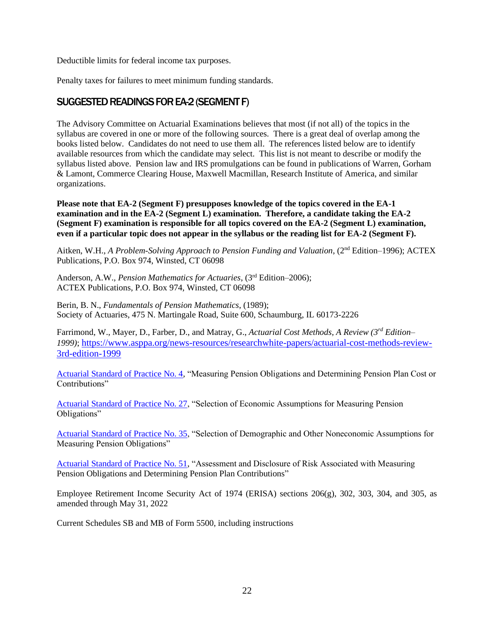Deductible limits for federal income tax purposes.

Penalty taxes for failures to meet minimum funding standards.

# SUGGESTED READINGS FOR EA-2 (SEGMENT F)

The Advisory Committee on Actuarial Examinations believes that most (if not all) of the topics in the syllabus are covered in one or more of the following sources. There is a great deal of overlap among the books listed below. Candidates do not need to use them all. The references listed below are to identify available resources from which the candidate may select. This list is not meant to describe or modify the syllabus listed above. Pension law and IRS promulgations can be found in publications of Warren, Gorham & Lamont, Commerce Clearing House, Maxwell Macmillan, Research Institute of America, and similar organizations.

**Please note that EA-2 (Segment F) presupposes knowledge of the topics covered in the EA-1 examination and in the EA-2 (Segment L) examination. Therefore, a candidate taking the EA-2 (Segment F) examination is responsible for all topics covered on the EA-2 (Segment L) examination, even if a particular topic does not appear in the syllabus or the reading list for EA-2 (Segment F).** 

Aitken, W.H., *A Problem-Solving Approach to Pension Funding and Valuation*, (2nd Edition–1996); ACTEX Publications, P.O. Box 974, Winsted, CT 06098

Anderson, A.W., *Pension Mathematics for Actuaries*, (3rd Edition–2006); ACTEX Publications, P.O. Box 974, Winsted, CT 06098

Berin, B. N., *Fundamentals of Pension Mathematics*, (1989); Society of Actuaries, 475 N. Martingale Road, Suite 600, Schaumburg, IL 60173-2226

Farrimond, W., Mayer, D., Farber, D., and Matray, G., *Actuarial Cost Methods, A Review (3rd Edition– 1999)*; [https://www.asppa.org/news-resources/researchwhite-papers/actuarial-cost-methods-review-](https://www.asppa.org/news-resources/researchwhite-papers/actuarial-cost-methods-review-3rd-edition-1999)[3rd-edition-1999](https://www.asppa.org/news-resources/researchwhite-papers/actuarial-cost-methods-review-3rd-edition-1999)

[Actuarial Standard of Practice No. 4,](http://www.actuarialstandardsboard.org/wp-content/uploads/2013/12/asop004_173-3.pdf) "Measuring Pension Obligations and Determining Pension Plan Cost or Contributions"

[Actuarial Standard of Practice No. 27,](http://www.actuarialstandardsboard.org/wp-content/uploads/2014/02/asop027_172.pdf) "Selection of Economic Assumptions for Measuring Pension Obligations"

[Actuarial Standard of Practice No. 35,](http://www.actuarialstandardsboard.org/wp-content/uploads/2014/02/asop035_1781.pdf) "Selection of Demographic and Other Noneconomic Assumptions for Measuring Pension Obligations"

[Actuarial Standard of Practice No. 51,](http://www.actuarialstandardsboard.org/wp-content/uploads/2017/10/asop051_188.pdf) "Assessment and Disclosure of Risk Associated with Measuring Pension Obligations and Determining Pension Plan Contributions"

Employee Retirement Income Security Act of 1974 (ERISA) sections 206(g), 302, 303, 304, and 305, as amended through May 31, 2022

Current Schedules SB and MB of Form 5500, including instructions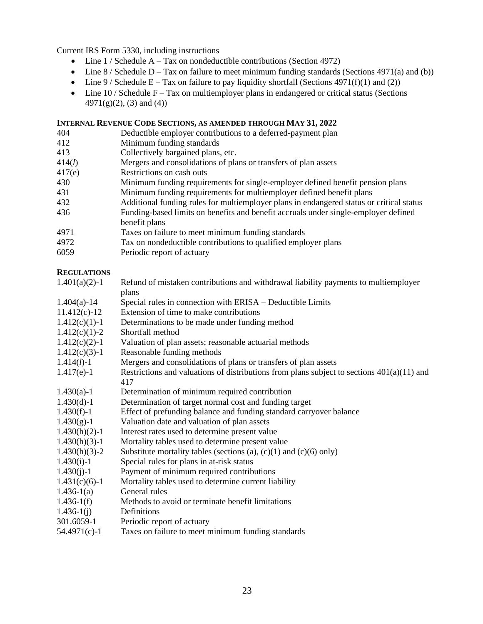Current IRS Form 5330, including instructions

- Line  $1 /$  Schedule A Tax on nondeductible contributions (Section 4972)
- Line  $8 /$  Schedule D Tax on failure to meet minimum funding standards (Sections 4971(a) and (b))
- Line  $9/$  Schedule E Tax on failure to pay liquidity shortfall (Sections 4971(f)(1) and (2))
- Line  $10$  / Schedule F Tax on multiemployer plans in endangered or critical status (Sections 4971(g)(2), (3) and (4))

### **INTERNAL REVENUE CODE SECTIONS, AS AMENDED THROUGH MAY 31, 2022**

| 404    | Deductible employer contributions to a deferred-payment plan                             |
|--------|------------------------------------------------------------------------------------------|
| 412    | Minimum funding standards                                                                |
| 413    | Collectively bargained plans, etc.                                                       |
| 414(l) | Mergers and consolidations of plans or transfers of plan assets                          |
| 417(e) | Restrictions on cash outs                                                                |
| 430    | Minimum funding requirements for single-employer defined benefit pension plans           |
| 431    | Minimum funding requirements for multiemployer defined benefit plans                     |
| 432    | Additional funding rules for multiemployer plans in endangered status or critical status |
| 436    | Funding-based limits on benefits and benefit accruals under single-employer defined      |
|        | benefit plans                                                                            |
| 4971   | Taxes on failure to meet minimum funding standards                                       |
| 4972   | Tax on nondeductible contributions to qualified employer plans                           |
| 6059   | Periodic report of actuary                                                               |
|        |                                                                                          |

#### **REGULATIONS**

| $1.401(a)(2)-1$  | Refund of mistaken contributions and withdrawal liability payments to multiemployer          |
|------------------|----------------------------------------------------------------------------------------------|
|                  | plans                                                                                        |
| $1.404(a) - 14$  | Special rules in connection with ERISA – Deductible Limits                                   |
| $11.412(c) - 12$ | Extension of time to make contributions                                                      |
| $1.412(c)(1)-1$  | Determinations to be made under funding method                                               |
| $1.412(c)(1)-2$  | Shortfall method                                                                             |
| $1.412(c)(2)-1$  | Valuation of plan assets; reasonable actuarial methods                                       |
| $1.412(c)(3)-1$  | Reasonable funding methods                                                                   |
| $1.414(l)-1$     | Mergers and consolidations of plans or transfers of plan assets                              |
| $1.417(e)-1$     | Restrictions and valuations of distributions from plans subject to sections $401(a)(11)$ and |
|                  | 417                                                                                          |
| $1.430(a)-1$     | Determination of minimum required contribution                                               |
| $1.430(d)-1$     | Determination of target normal cost and funding target                                       |
| $1.430(f)-1$     | Effect of prefunding balance and funding standard carryover balance                          |
| $1.430(g)-1$     | Valuation date and valuation of plan assets                                                  |
| $1.430(h)(2)-1$  | Interest rates used to determine present value                                               |
| $1.430(h)(3)-1$  | Mortality tables used to determine present value                                             |
| $1.430(h)(3)-2$  | Substitute mortality tables (sections (a), $(c)(1)$ and $(c)(6)$ only)                       |
| $1.430(i)-1$     | Special rules for plans in at-risk status                                                    |
| $1.430(j)-1$     | Payment of minimum required contributions                                                    |
| $1.431(c)(6)-1$  | Mortality tables used to determine current liability                                         |
| $1.436-1(a)$     | General rules                                                                                |
| $1.436-1(f)$     | Methods to avoid or terminate benefit limitations                                            |
| $1.436-1(j)$     | Definitions                                                                                  |
| 301.6059-1       | Periodic report of actuary                                                                   |
| $54.4971(c)-1$   | Taxes on failure to meet minimum funding standards                                           |
|                  |                                                                                              |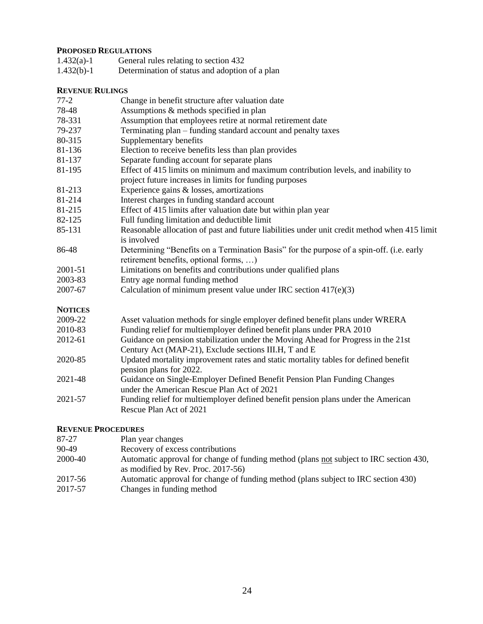# **PROPOSED REGULATIONS**

| $1.432(a)-1$ | General rules relating to section 432          |
|--------------|------------------------------------------------|
| $1.432(b)-1$ | Determination of status and adoption of a plan |

#### **REVENUE RULINGS**

| 111 J LL TV 11 |                                                                                                                                              |
|----------------|----------------------------------------------------------------------------------------------------------------------------------------------|
| $77-2$         | Change in benefit structure after valuation date                                                                                             |
| 78-48          | Assumptions & methods specified in plan                                                                                                      |
| 78-331         | Assumption that employees retire at normal retirement date                                                                                   |
| 79-237         | Terminating plan - funding standard account and penalty taxes                                                                                |
| 80-315         | Supplementary benefits                                                                                                                       |
| 81-136         | Election to receive benefits less than plan provides                                                                                         |
| 81-137         | Separate funding account for separate plans                                                                                                  |
| 81-195         | Effect of 415 limits on minimum and maximum contribution levels, and inability to<br>project future increases in limits for funding purposes |
| 81-213         | Experience gains & losses, amortizations                                                                                                     |
| 81-214         | Interest charges in funding standard account                                                                                                 |
| 81-215         | Effect of 415 limits after valuation date but within plan year                                                                               |
| 82-125         | Full funding limitation and deductible limit                                                                                                 |
| 85-131         | Reasonable allocation of past and future liabilities under unit credit method when 415 limit<br>is involved                                  |
| 86-48          | Determining "Benefits on a Termination Basis" for the purpose of a spin-off. (i.e. early<br>retirement benefits, optional forms, )           |
| 2001-51        | Limitations on benefits and contributions under qualified plans                                                                              |
| 2003-83        | Entry age normal funding method                                                                                                              |
| 2007-67        | Calculation of minimum present value under IRC section $417(e)(3)$                                                                           |
| <b>NOTICES</b> |                                                                                                                                              |
| 2009-22        | Asset valuation methods for single employer defined benefit plans under WRERA                                                                |
| 2010-83        | Funding relief for multiemployer defined benefit plans under PRA 2010                                                                        |
| 2012-61        | Guidance on pension stabilization under the Moving Ahead for Progress in the 21st<br>Century Act (MAP-21), Exclude sections III.H, T and E   |
| 2020-85        | Updated mortality improvement rates and static mortality tables for defined benefit<br>pension plans for 2022.                               |
| 2021-48        | Guidance on Single-Employer Defined Benefit Pension Plan Funding Changes<br>under the American Rescue Plan Act of 2021                       |
| 2021-57        | Funding relief for multiemployer defined benefit pension plans under the American                                                            |

#### **REVENUE PROCEDURES**

Rescue Plan Act of 2021

| 87-27   | Plan year changes                                                                                                            |
|---------|------------------------------------------------------------------------------------------------------------------------------|
| 90-49   | Recovery of excess contributions                                                                                             |
| 2000-40 | Automatic approval for change of funding method (plans not subject to IRC section 430,<br>as modified by Rev. Proc. 2017-56) |
| 2017-56 | Automatic approval for change of funding method (plans subject to IRC section 430)                                           |
| 2017-57 | Changes in funding method                                                                                                    |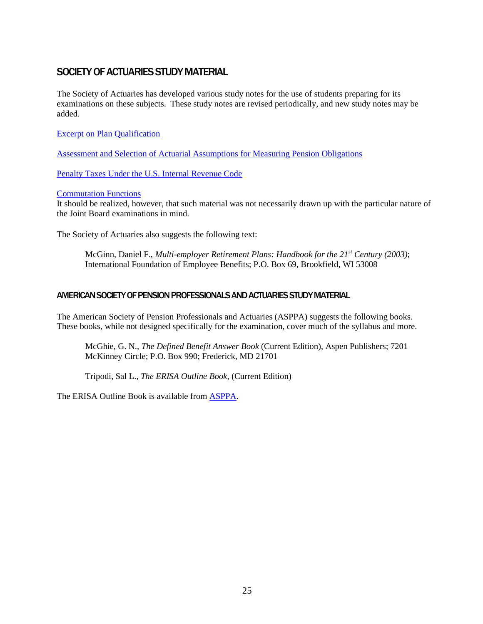# SOCIETY OF ACTUARIES STUDY MATERIAL

The Society of Actuaries has developed various study notes for the use of students preparing for its examinations on these subjects. These study notes are revised periodically, and new study notes may be added.

[Excerpt on Plan Qualification](https://www.soa.org/globalassets/assets/files/edu/edu-2009-fall-ea2a-sn.pdf)

[Assessment and Selection of Actuarial Assumptions for Measuring Pension Obligations](https://www.soa.org/globalassets/assets/files/edu/edu-2009-fall-ea-assess-sn.pdf)

[Penalty Taxes Under the U.S. Internal Revenue Code](https://www.soa.org/globalassets/assets/files/edu/edu-2009-fall-ea2b-2a-sn.pdf)

#### [Commutation Functions](https://www.soa.org/globalassets/assets/files/edu/edu-2009-fall-ea-sn-com.pdf)

It should be realized, however, that such material was not necessarily drawn up with the particular nature of the Joint Board examinations in mind.

The Society of Actuaries also suggests the following text:

McGinn, Daniel F., *Multi-employer Retirement Plans: Handbook for the 21st Century (2003)*; International Foundation of Employee Benefits; P.O. Box 69, Brookfield, WI 53008

#### AMERICAN SOCIETY OF PENSION PROFESSIONALS AND ACTUARIES STUDY MATERIAL

The American Society of Pension Professionals and Actuaries (ASPPA) suggests the following books. These books, while not designed specifically for the examination, cover much of the syllabus and more.

McGhie, G. N., *The Defined Benefit Answer Book* (Current Edition), Aspen Publishers; 7201 McKinney Circle; P.O. Box 990; Frederick, MD 21701

Tripodi, Sal L., *The ERISA Outline Book*, (Current Edition)

The ERISA Outline Book is available from [ASPPA.](https://www.asppa.org/news/publications)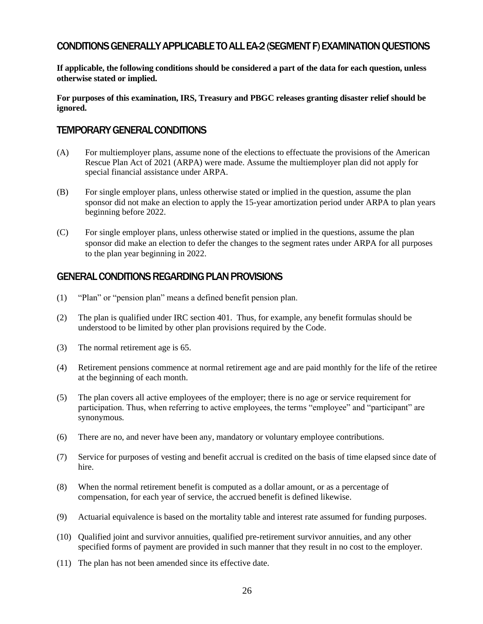# CONDITIONS GENERALLY APPLICABLE TO ALL EA-2 (SEGMENT F) EXAMINATION QUESTIONS

**If applicable, the following conditions should be considered a part of the data for each question, unless otherwise stated or implied.** 

**For purposes of this examination, IRS, Treasury and PBGC releases granting disaster relief should be ignored.** 

#### TEMPORARY GENERAL CONDITIONS

- (A) For multiemployer plans, assume none of the elections to effectuate the provisions of the American Rescue Plan Act of 2021 (ARPA) were made. Assume the multiemployer plan did not apply for special financial assistance under ARPA.
- (B) For single employer plans, unless otherwise stated or implied in the question, assume the plan sponsor did not make an election to apply the 15-year amortization period under ARPA to plan years beginning before 2022.
- (C) For single employer plans, unless otherwise stated or implied in the questions, assume the plan sponsor did make an election to defer the changes to the segment rates under ARPA for all purposes to the plan year beginning in 2022.

### GENERAL CONDITIONS REGARDING PLAN PROVISIONS

- (1) "Plan" or "pension plan" means a defined benefit pension plan.
- (2) The plan is qualified under IRC section 401. Thus, for example, any benefit formulas should be understood to be limited by other plan provisions required by the Code.
- (3) The normal retirement age is 65.
- (4) Retirement pensions commence at normal retirement age and are paid monthly for the life of the retiree at the beginning of each month.
- (5) The plan covers all active employees of the employer; there is no age or service requirement for participation. Thus, when referring to active employees, the terms "employee" and "participant" are synonymous.
- (6) There are no, and never have been any, mandatory or voluntary employee contributions.
- (7) Service for purposes of vesting and benefit accrual is credited on the basis of time elapsed since date of hire.
- (8) When the normal retirement benefit is computed as a dollar amount, or as a percentage of compensation, for each year of service, the accrued benefit is defined likewise.
- (9) Actuarial equivalence is based on the mortality table and interest rate assumed for funding purposes.
- (10) Qualified joint and survivor annuities, qualified pre-retirement survivor annuities, and any other specified forms of payment are provided in such manner that they result in no cost to the employer.
- (11) The plan has not been amended since its effective date.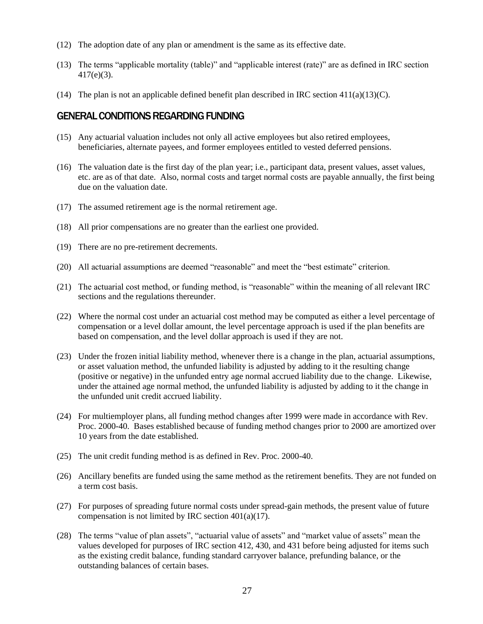- (12) The adoption date of any plan or amendment is the same as its effective date.
- (13) The terms "applicable mortality (table)" and "applicable interest (rate)" are as defined in IRC section 417(e)(3).
- (14) The plan is not an applicable defined benefit plan described in IRC section  $411(a)(13)(C)$ .

#### GENERAL CONDITIONS REGARDING FUNDING

- (15) Any actuarial valuation includes not only all active employees but also retired employees, beneficiaries, alternate payees, and former employees entitled to vested deferred pensions.
- (16) The valuation date is the first day of the plan year; i.e., participant data, present values, asset values, etc. are as of that date. Also, normal costs and target normal costs are payable annually, the first being due on the valuation date.
- (17) The assumed retirement age is the normal retirement age.
- (18) All prior compensations are no greater than the earliest one provided.
- (19) There are no pre-retirement decrements.
- (20) All actuarial assumptions are deemed "reasonable" and meet the "best estimate" criterion.
- (21) The actuarial cost method, or funding method, is "reasonable" within the meaning of all relevant IRC sections and the regulations thereunder.
- (22) Where the normal cost under an actuarial cost method may be computed as either a level percentage of compensation or a level dollar amount, the level percentage approach is used if the plan benefits are based on compensation, and the level dollar approach is used if they are not.
- (23) Under the frozen initial liability method, whenever there is a change in the plan, actuarial assumptions, or asset valuation method, the unfunded liability is adjusted by adding to it the resulting change (positive or negative) in the unfunded entry age normal accrued liability due to the change. Likewise, under the attained age normal method, the unfunded liability is adjusted by adding to it the change in the unfunded unit credit accrued liability.
- (24) For multiemployer plans, all funding method changes after 1999 were made in accordance with Rev. Proc. 2000-40. Bases established because of funding method changes prior to 2000 are amortized over 10 years from the date established.
- (25) The unit credit funding method is as defined in Rev. Proc. 2000-40.
- (26) Ancillary benefits are funded using the same method as the retirement benefits. They are not funded on a term cost basis.
- (27) For purposes of spreading future normal costs under spread-gain methods, the present value of future compensation is not limited by IRC section  $401(a)(17)$ .
- (28) The terms "value of plan assets", "actuarial value of assets" and "market value of assets" mean the values developed for purposes of IRC section 412, 430, and 431 before being adjusted for items such as the existing credit balance, funding standard carryover balance, prefunding balance, or the outstanding balances of certain bases.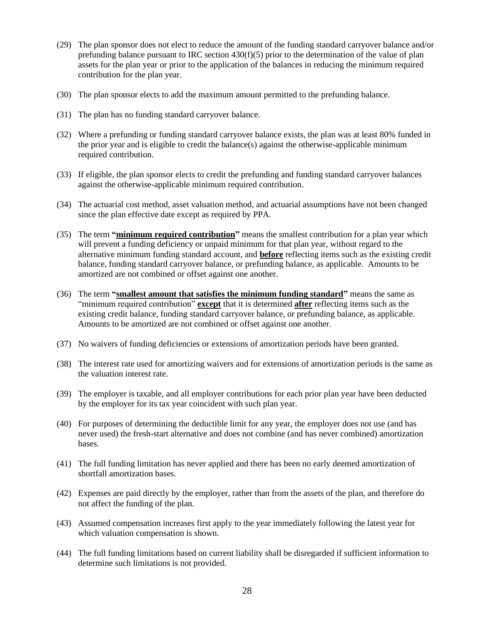- (29) The plan sponsor does not elect to reduce the amount of the funding standard carryover balance and/or prefunding balance pursuant to IRC section  $430(f)(5)$  prior to the determination of the value of plan assets for the plan year or prior to the application of the balances in reducing the minimum required contribution for the plan year.
- (30) The plan sponsor elects to add the maximum amount permitted to the prefunding balance.
- (31) The plan has no funding standard carryover balance.
- (32) Where a prefunding or funding standard carryover balance exists, the plan was at least 80% funded in the prior year and is eligible to credit the balance(s) against the otherwise-applicable minimum required contribution.
- (33) If eligible, the plan sponsor elects to credit the prefunding and funding standard carryover balances against the otherwise-applicable minimum required contribution.
- (34) The actuarial cost method, asset valuation method, and actuarial assumptions have not been changed since the plan effective date except as required by PPA.
- (35) The term **"minimum required contribution"** means the smallest contribution for a plan year which will prevent a funding deficiency or unpaid minimum for that plan year, without regard to the alternative minimum funding standard account, and **before** reflecting items such as the existing credit balance, funding standard carryover balance, or prefunding balance, as applicable. Amounts to be amortized are not combined or offset against one another.
- (36) The term **"smallest amount that satisfies the minimum funding standard"** means the same as "minimum required contribution" **except** that it is determined **after** reflecting items such as the existing credit balance, funding standard carryover balance, or prefunding balance, as applicable. Amounts to be amortized are not combined or offset against one another.
- (37) No waivers of funding deficiencies or extensions of amortization periods have been granted.
- (38) The interest rate used for amortizing waivers and for extensions of amortization periods is the same as the valuation interest rate.
- (39) The employer is taxable, and all employer contributions for each prior plan year have been deducted by the employer for its tax year coincident with such plan year.
- (40) For purposes of determining the deductible limit for any year, the employer does not use (and has never used) the fresh-start alternative and does not combine (and has never combined) amortization bases.
- (41) The full funding limitation has never applied and there has been no early deemed amortization of shortfall amortization bases.
- (42) Expenses are paid directly by the employer, rather than from the assets of the plan, and therefore do not affect the funding of the plan.
- (43) Assumed compensation increases first apply to the year immediately following the latest year for which valuation compensation is shown.
- (44) The full funding limitations based on current liability shall be disregarded if sufficient information to determine such limitations is not provided.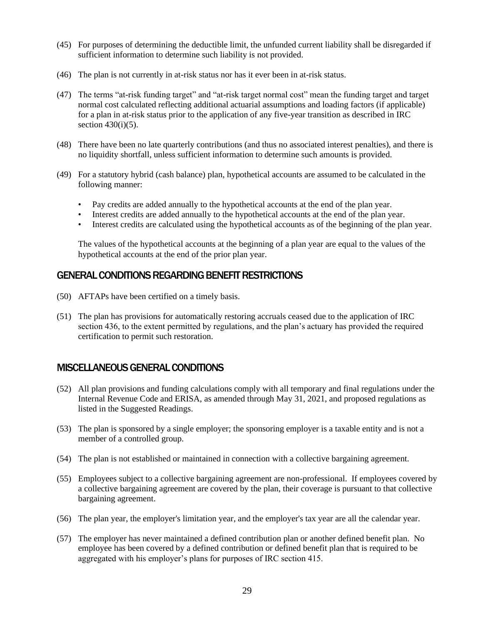- (45) For purposes of determining the deductible limit, the unfunded current liability shall be disregarded if sufficient information to determine such liability is not provided.
- (46) The plan is not currently in at-risk status nor has it ever been in at-risk status.
- (47) The terms "at-risk funding target" and "at-risk target normal cost" mean the funding target and target normal cost calculated reflecting additional actuarial assumptions and loading factors (if applicable) for a plan in at-risk status prior to the application of any five-year transition as described in IRC section  $430(i)(5)$ .
- (48) There have been no late quarterly contributions (and thus no associated interest penalties), and there is no liquidity shortfall, unless sufficient information to determine such amounts is provided.
- (49) For a statutory hybrid (cash balance) plan, hypothetical accounts are assumed to be calculated in the following manner:
	- Pay credits are added annually to the hypothetical accounts at the end of the plan year.
	- Interest credits are added annually to the hypothetical accounts at the end of the plan year.
	- Interest credits are calculated using the hypothetical accounts as of the beginning of the plan year.

 The values of the hypothetical accounts at the beginning of a plan year are equal to the values of the hypothetical accounts at the end of the prior plan year.

### GENERAL CONDITIONS REGARDING BENEFIT RESTRICTIONS

- (50) AFTAPs have been certified on a timely basis.
- (51) The plan has provisions for automatically restoring accruals ceased due to the application of IRC section 436, to the extent permitted by regulations, and the plan's actuary has provided the required certification to permit such restoration.

### MISCELLANEOUS GENERAL CONDITIONS

- (52) All plan provisions and funding calculations comply with all temporary and final regulations under the Internal Revenue Code and ERISA, as amended through May 31, 2021, and proposed regulations as listed in the Suggested Readings.
- (53) The plan is sponsored by a single employer; the sponsoring employer is a taxable entity and is not a member of a controlled group.
- (54) The plan is not established or maintained in connection with a collective bargaining agreement.
- (55) Employees subject to a collective bargaining agreement are non-professional. If employees covered by a collective bargaining agreement are covered by the plan, their coverage is pursuant to that collective bargaining agreement.
- (56) The plan year, the employer's limitation year, and the employer's tax year are all the calendar year.
- (57) The employer has never maintained a defined contribution plan or another defined benefit plan. No employee has been covered by a defined contribution or defined benefit plan that is required to be aggregated with his employer's plans for purposes of IRC section 415.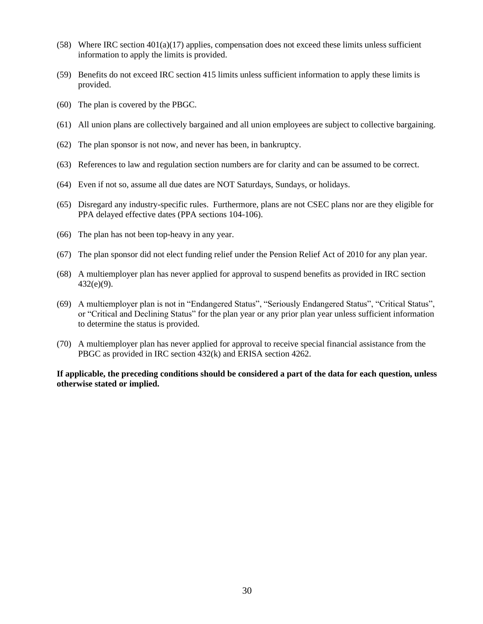- (58) Where IRC section 401(a)(17) applies, compensation does not exceed these limits unless sufficient information to apply the limits is provided.
- (59) Benefits do not exceed IRC section 415 limits unless sufficient information to apply these limits is provided.
- (60) The plan is covered by the PBGC.
- (61) All union plans are collectively bargained and all union employees are subject to collective bargaining.
- (62) The plan sponsor is not now, and never has been, in bankruptcy.
- (63) References to law and regulation section numbers are for clarity and can be assumed to be correct.
- (64) Even if not so, assume all due dates are NOT Saturdays, Sundays, or holidays.
- (65) Disregard any industry-specific rules. Furthermore, plans are not CSEC plans nor are they eligible for PPA delayed effective dates (PPA sections 104-106).
- (66) The plan has not been top-heavy in any year.
- (67) The plan sponsor did not elect funding relief under the Pension Relief Act of 2010 for any plan year.
- (68) A multiemployer plan has never applied for approval to suspend benefits as provided in IRC section 432(e)(9).
- (69) A multiemployer plan is not in "Endangered Status", "Seriously Endangered Status", "Critical Status", or "Critical and Declining Status" for the plan year or any prior plan year unless sufficient information to determine the status is provided.
- (70) A multiemployer plan has never applied for approval to receive special financial assistance from the PBGC as provided in IRC section 432(k) and ERISA section 4262.

**If applicable, the preceding conditions should be considered a part of the data for each question, unless otherwise stated or implied.**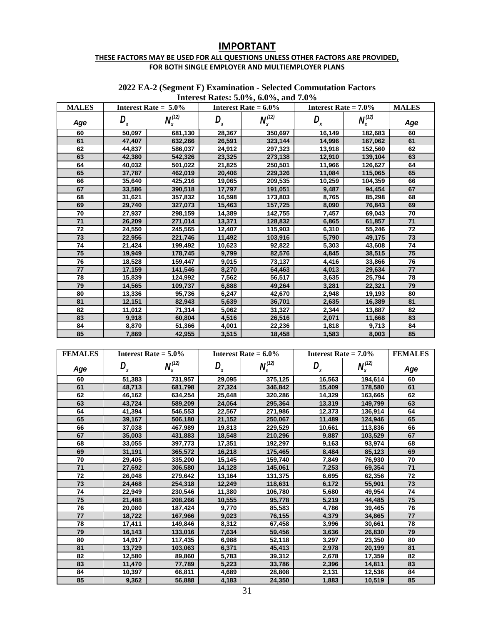# **IMPORTANT**

#### **THESE FACTORS MAY BE USED FOR ALL QUESTIONS UNLESS OTHER FACTORS ARE PROVIDED, FOR BOTH SINGLE EMPLOYER AND MULTIEMPLOYER PLANS**

| <b>MALES</b> |        | Interest Rate = $5.0\%$ |        | $\cdots$ , $\cdots$ , $\cdots$ , $\cdots$ , $\cdots$<br>Interest Rate $= 6.0\%$ | Interest Rate $= 7.0\%$ |                | <b>MALES</b> |
|--------------|--------|-------------------------|--------|---------------------------------------------------------------------------------|-------------------------|----------------|--------------|
| Age          | D,     | $N_x^{(12)}$            | D,     | $N_x^{(12)}$                                                                    | D <sub>x</sub>          | $N_{x}^{(12)}$ | Age          |
| 60           | 50,097 | 681.130                 | 28,367 | 350,697                                                                         | 16,149                  | 182,683        | 60           |
| 61           | 47,407 | 632,266                 | 26,591 | 323,144                                                                         | 14,996                  | 167,062        | 61           |
| 62           | 44,837 | 586,037                 | 24,912 | 297,323                                                                         | 13,918                  | 152,560        | 62           |
| 63           | 42,380 | 542,326                 | 23,325 | 273,138                                                                         | 12,910                  | 139,104        | 63           |
| 64           | 40,032 | 501,022                 | 21,825 | 250,501                                                                         | 11,966                  | 126,627        | 64           |
| 65           | 37.787 | 462,019                 | 20.406 | 229,326                                                                         | 11,084                  | 115,065        | 65           |
| 66           | 35,640 | 425,216                 | 19,065 | 209,535                                                                         | 10,259                  | 104,359        | 66           |
| 67           | 33,586 | 390,518                 | 17,797 | 191,051                                                                         | 9.487                   | 94,454         | 67           |
| 68           | 31,621 | 357,832                 | 16,598 | 173,803                                                                         | 8,765                   | 85,298         | 68           |
| 69           | 29,740 | 327,073                 | 15,463 | 157,725                                                                         | 8,090                   | 76,843         | 69           |
| 70           | 27,937 | 298,159                 | 14,389 | 142,755                                                                         | 7,457                   | 69,043         | 70           |
| 71           | 26.209 | 271.014                 | 13.371 | 128,832                                                                         | 6.865                   | 61.857         | 71           |
| 72           | 24,550 | 245,565                 | 12,407 | 115,903                                                                         | 6,310                   | 55,246         | 72           |
| 73           | 22,956 | 221,746                 | 11,492 | 103,916                                                                         | 5,790                   | 49,175         | 73           |
| 74           | 21,424 | 199,492                 | 10,623 | 92,822                                                                          | 5,303                   | 43,608         | 74           |
| 75           | 19,949 | 178,745                 | 9,799  | 82,576                                                                          | 4,845                   | 38,515         | 75           |
| 76           | 18,528 | 159,447                 | 9,015  | 73,137                                                                          | 4,416                   | 33,866         | 76           |
| 77           | 17,159 | 141,546                 | 8,270  | 64,463                                                                          | 4,013                   | 29,634         | 77           |
| 78           | 15,839 | 124,992                 | 7,562  | 56,517                                                                          | 3,635                   | 25,794         | 78           |
| 79           | 14,565 | 109,737                 | 6,888  | 49,264                                                                          | 3,281                   | 22,321         | 79           |
| 80           | 13,336 | 95,736                  | 6,247  | 42,670                                                                          | 2,948                   | 19,193         | 80           |
| 81           | 12,151 | 82,943                  | 5,639  | 36,701                                                                          | 2,635                   | 16,389         | 81           |
| 82           | 11,012 | 71,314                  | 5,062  | 31,327                                                                          | 2,344                   | 13,887         | 82           |
| 83           | 9,918  | 60,804                  | 4,516  | 26,516                                                                          | 2,071                   | 11,668         | 83           |
| 84           | 8,870  | 51,366                  | 4,001  | 22,236                                                                          | 1,818                   | 9,713          | 84           |
| 85           | 7.869  | 42.955                  | 3.515  | 18.458                                                                          | 1.583                   | 8.003          | 85           |

#### **2022 EA-2 (Segment F) Examination - Selected Commutation Factors Interest Rates: 5.0%, 6.0%, and 7.0%**

| <b>FEMALES</b> |                | Interest Rate $= 5.0\%$ |                  | Interest Rate = $6.0\%$ | <b>Interest Rate = <math>7.0\%</math></b> |                | <b>FEMALES</b> |
|----------------|----------------|-------------------------|------------------|-------------------------|-------------------------------------------|----------------|----------------|
| Age            | D <sub>x</sub> | $N_{.}^{(12)}$          | $D_{\mathbf{x}}$ | $N_{x}^{(12)}$          | $D_{\mathbf{x}}$                          | $N_{x}^{(12)}$ | Age            |
| 60             | 51,383         | 731,957                 | 29,095           | 375,125                 | 16,563                                    | 194,614        | 60             |
| 61             | 48,713         | 681,798                 | 27,324           | 346,842                 | 15,409                                    | 178,580        | 61             |
| 62             | 46,162         | 634,254                 | 25,648           | 320,286                 | 14,329                                    | 163,665        | 62             |
| 63             | 43,724         | 589,209                 | 24,064           | 295,364                 | 13,319                                    | 149,799        | 63             |
| 64             | 41,394         | 546,553                 | 22,567           | 271,986                 | 12,373                                    | 136,914        | 64             |
| 65             | 39,167         | 506,180                 | 21,152           | 250,067                 | 11,489                                    | 124,946        | 65             |
| 66             | 37,038         | 467.989                 | 19,813           | 229,529                 | 10,661                                    | 113.836        | 66             |
| 67             | 35,003         | 431,883                 | 18,548           | 210,296                 | 9,887                                     | 103,529        | 67             |
| 68             | 33,055         | 397,773                 | 17,351           | 192,297                 | 9,163                                     | 93,974         | 68             |
| 69             | 31,191         | 365,572                 | 16,218           | 175,465                 | 8,484                                     | 85,123         | 69             |
| 70             | 29,405         | 335,200                 | 15,145           | 159,740                 | 7,849                                     | 76,930         | 70             |
| 71             | 27,692         | 306,580                 | 14,128           | 145,061                 | 7,253                                     | 69,354         | 71             |
| 72             | 26,048         | 279,642                 | 13,164           | 131,375                 | 6,695                                     | 62,356         | 72             |
| 73             | 24,468         | 254,318                 | 12,249           | 118,631                 | 6,172                                     | 55,901         | 73             |
| 74             | 22,949         | 230,546                 | 11,380           | 106,780                 | 5,680                                     | 49,954         | 74             |
| 75             | 21,488         | 208,266                 | 10,555           | 95,778                  | 5,219                                     | 44,485         | 75             |
| 76             | 20,080         | 187,424                 | 9,770            | 85,583                  | 4.786                                     | 39,465         | 76             |
| 77             | 18,722         | 167,966                 | 9,023            | 76,155                  | 4,379                                     | 34,865         | 77             |
| 78             | 17,411         | 149,846                 | 8,312            | 67,458                  | 3,996                                     | 30,661         | 78             |
| 79             | 16,143         | 133,016                 | 7,634            | 59,456                  | 3,636                                     | 26,830         | 79             |
| 80             | 14,917         | 117,435                 | 6,988            | 52,118                  | 3,297                                     | 23,350         | 80             |
| 81             | 13,729         | 103,063                 | 6,371            | 45,413                  | 2,978                                     | 20,199         | 81             |
| 82             | 12,580         | 89,860                  | 5,783            | 39,312                  | 2,678                                     | 17,359         | 82             |
| 83             | 11,470         | 77,789                  | 5,223            | 33,786                  | 2,396                                     | 14,811         | 83             |
| 84             | 10,397         | 66,811                  | 4,689            | 28,808                  | 2,131                                     | 12,536         | 84             |
| 85             | 9,362          | 56,888                  | 4,183            | 24,350                  | 1,883                                     | 10,519         | 85             |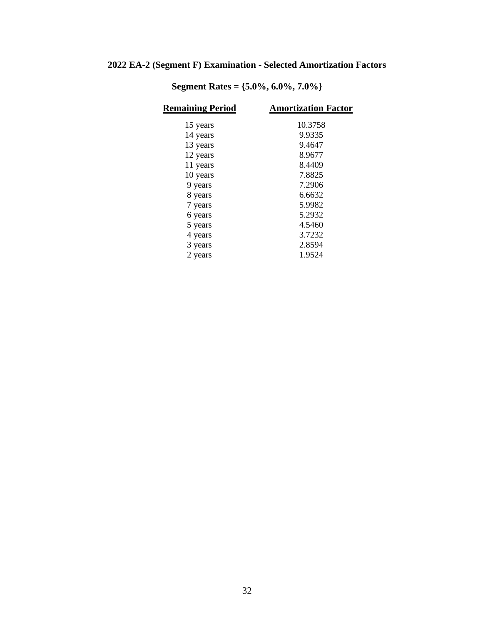# **2022 EA-2 (Segment F) Examination - Selected Amortization Factors**

| <b>Remaining Period</b> | <b>Amortization Factor</b> |
|-------------------------|----------------------------|
| 15 years                | 10.3758                    |
| 14 years                | 9.9335                     |
| 13 years                | 9.4647                     |
| 12 years                | 8.9677                     |
| 11 years                | 8.4409                     |
| 10 years                | 7.8825                     |
| 9 years                 | 7.2906                     |
| 8 years                 | 6.6632                     |
| 7 years                 | 5.9982                     |
| 6 years                 | 5.2932                     |
| 5 years                 | 4.5460                     |
| 4 years                 | 3.7232                     |
| 3 years                 | 2.8594                     |
| 2 years                 | 1.9524                     |
|                         |                            |

**Segment Rates = {5.0%, 6.0%, 7.0%}**